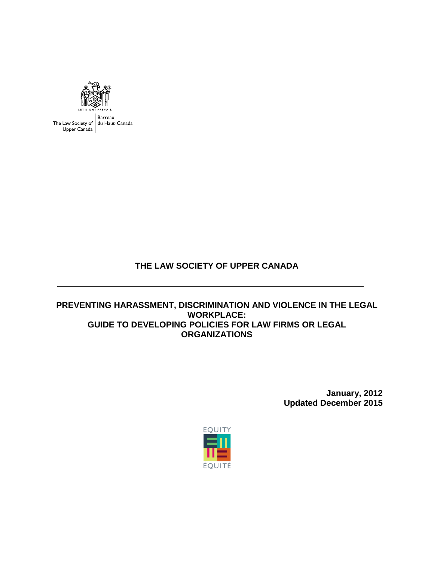

Barreau The Law Society of du Haut-Canada<br>Upper Canada

**THE LAW SOCIETY OF UPPER CANADA**

**PREVENTING HARASSMENT, DISCRIMINATION AND VIOLENCE IN THE LEGAL WORKPLACE: GUIDE TO DEVELOPING POLICIES FOR LAW FIRMS OR LEGAL ORGANIZATIONS**

> **January, 2012 Updated December 2015**

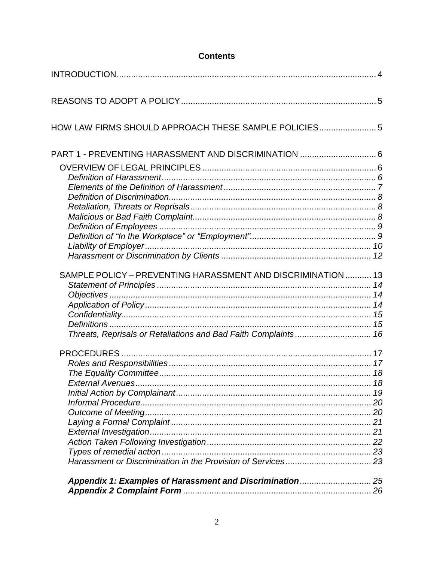| HOW LAW FIRMS SHOULD APPROACH THESE SAMPLE POLICIES 5          |  |
|----------------------------------------------------------------|--|
| PART 1 - PREVENTING HARASSMENT AND DISCRIMINATION  6           |  |
|                                                                |  |
|                                                                |  |
|                                                                |  |
|                                                                |  |
|                                                                |  |
|                                                                |  |
|                                                                |  |
|                                                                |  |
|                                                                |  |
|                                                                |  |
| SAMPLE POLICY - PREVENTING HARASSMENT AND DISCRIMINATION  13   |  |
|                                                                |  |
|                                                                |  |
|                                                                |  |
|                                                                |  |
|                                                                |  |
| Threats, Reprisals or Retaliations and Bad Faith Complaints 16 |  |
|                                                                |  |
|                                                                |  |
|                                                                |  |
|                                                                |  |
|                                                                |  |
|                                                                |  |
|                                                                |  |
|                                                                |  |
|                                                                |  |
|                                                                |  |
|                                                                |  |
|                                                                |  |
|                                                                |  |
|                                                                |  |
|                                                                |  |

### **Contents**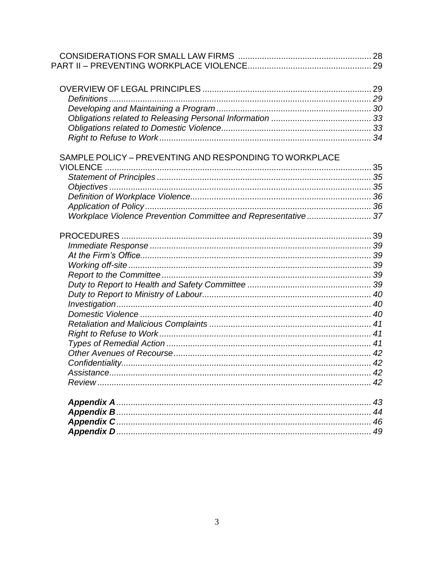| SAMPLE POLICY - PREVENTING AND RESPONDING TO WORKPLACE        |  |
|---------------------------------------------------------------|--|
|                                                               |  |
|                                                               |  |
|                                                               |  |
|                                                               |  |
|                                                               |  |
| Workplace Violence Prevention Committee and Representative 37 |  |
|                                                               |  |
|                                                               |  |
|                                                               |  |
|                                                               |  |
|                                                               |  |
|                                                               |  |
|                                                               |  |
|                                                               |  |
|                                                               |  |
|                                                               |  |
|                                                               |  |
|                                                               |  |
|                                                               |  |
|                                                               |  |
|                                                               |  |
|                                                               |  |
|                                                               |  |
|                                                               |  |
|                                                               |  |
|                                                               |  |
|                                                               |  |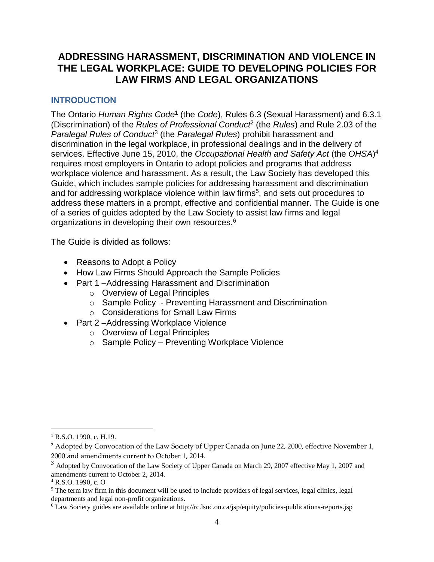# **ADDRESSING HARASSMENT, DISCRIMINATION AND VIOLENCE IN THE LEGAL WORKPLACE: GUIDE TO DEVELOPING POLICIES FOR LAW FIRMS AND LEGAL ORGANIZATIONS**

### <span id="page-3-0"></span>**INTRODUCTION**

The Ontario *Human Rights Code*<sup>1</sup> (the *Code*), Rules 6.3 (Sexual Harassment) and 6.3.1 (Discrimination) of the *Rules of Professional Conduct*<sup>2</sup> (the *Rules*) and Rule 2.03 of the *Paralegal Rules of Conduct*<sup>3</sup> (the *Paralegal Rules*) prohibit harassment and discrimination in the legal workplace, in professional dealings and in the delivery of services. Effective June 15, 2010, the *Occupational Health and Safety Act* (the *OHSA*) 4 requires most employers in Ontario to adopt policies and programs that address workplace violence and harassment. As a result, the Law Society has developed this Guide, which includes sample policies for addressing harassment and discrimination and for addressing workplace violence within law firms<sup>5</sup>, and sets out procedures to address these matters in a prompt, effective and confidential manner. The Guide is one of a series of guides adopted by the Law Society to assist law firms and legal organizations in developing their own resources.<sup>6</sup>

The Guide is divided as follows:

- Reasons to Adopt a Policy
- How Law Firms Should Approach the Sample Policies
- Part 1-Addressing Harassment and Discrimination
	- o Overview of Legal Principles
	- o Sample Policy Preventing Harassment and Discrimination
	- o Considerations for Small Law Firms
- Part 2-Addressing Workplace Violence
	- o Overview of Legal Principles
	- o Sample Policy Preventing Workplace Violence

<sup>&</sup>lt;sup>1</sup> R.S.O. 1990, c. H.19.

<sup>&</sup>lt;sup>2</sup> Adopted by Convocation of the Law Society of Upper Canada on June 22, 2000, effective November 1, 2000 and amendments current to October 1, 2014.

<sup>&</sup>lt;sup>3</sup> Adopted by Convocation of the Law Society of Upper Canada on March 29, 2007 effective May 1, 2007 and amendments current to October 2, 2014.

 $4$  R.S.O. 1990, c. O

<sup>&</sup>lt;sup>5</sup> The term law firm in this document will be used to include providers of legal services, legal clinics, legal departments and legal non-profit organizations.

<sup>6</sup> Law Society guides are available online at http://rc.lsuc.on.ca/jsp/equity/policies-publications-reports.jsp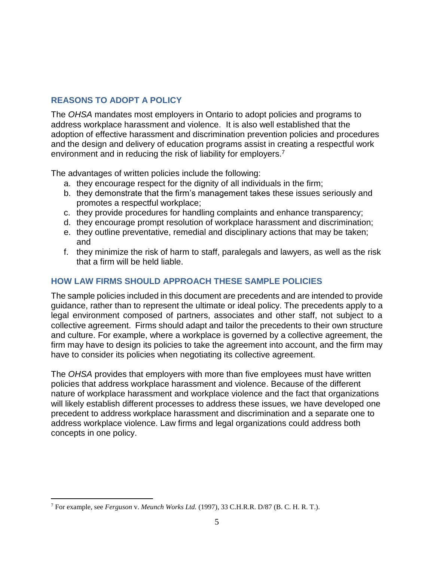### <span id="page-4-0"></span>**REASONS TO ADOPT A POLICY**

The *OHSA* mandates most employers in Ontario to adopt policies and programs to address workplace harassment and violence. It is also well established that the adoption of effective harassment and discrimination prevention policies and procedures and the design and delivery of education programs assist in creating a respectful work environment and in reducing the risk of liability for employers.<sup>7</sup>

The advantages of written policies include the following:

- a. they encourage respect for the dignity of all individuals in the firm;
- b. they demonstrate that the firm's management takes these issues seriously and promotes a respectful workplace;
- c. they provide procedures for handling complaints and enhance transparency;
- d. they encourage prompt resolution of workplace harassment and discrimination;
- e. they outline preventative, remedial and disciplinary actions that may be taken; and
- f. they minimize the risk of harm to staff, paralegals and lawyers, as well as the risk that a firm will be held liable.

### <span id="page-4-1"></span>**HOW LAW FIRMS SHOULD APPROACH THESE SAMPLE POLICIES**

The sample policies included in this document are precedents and are intended to provide guidance, rather than to represent the ultimate or ideal policy. The precedents apply to a legal environment composed of partners, associates and other staff, not subject to a collective agreement. Firms should adapt and tailor the precedents to their own structure and culture. For example, where a workplace is governed by a collective agreement, the firm may have to design its policies to take the agreement into account, and the firm may have to consider its policies when negotiating its collective agreement.

The *OHSA* provides that employers with more than five employees must have written policies that address workplace harassment and violence. Because of the different nature of workplace harassment and workplace violence and the fact that organizations will likely establish different processes to address these issues, we have developed one precedent to address workplace harassment and discrimination and a separate one to address workplace violence. Law firms and legal organizations could address both concepts in one policy.

 $\overline{a}$ <sup>7</sup> For example, see *Ferguson* v. *Meunch Works Ltd.* (1997), 33 C.H.R.R. D/87 (B. C. H. R. T.).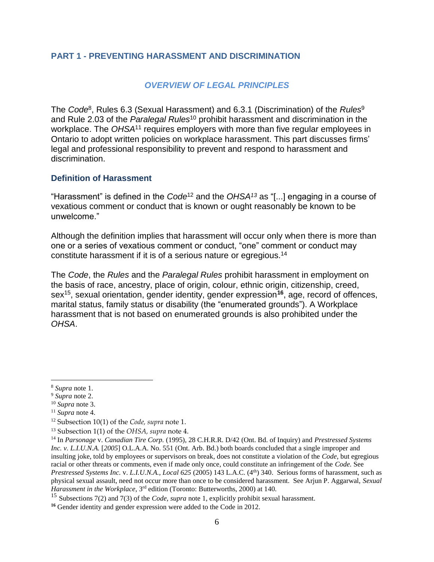### <span id="page-5-0"></span>**PART 1 - PREVENTING HARASSMENT AND DISCRIMINATION**

### *OVERVIEW OF LEGAL PRINCIPLES*

<span id="page-5-1"></span>The *Code*<sup>8</sup> , Rules 6.3 (Sexual Harassment) and 6.3.1 (Discrimination) of the *Rules*<sup>9</sup> and Rule 2.03 of the *Paralegal Rules*<sup>10</sup> prohibit harassment and discrimination in the workplace. The *OHSA*<sup>11</sup> requires employers with more than five regular employees in Ontario to adopt written policies on workplace harassment. This part discusses firms' legal and professional responsibility to prevent and respond to harassment and discrimination.

### <span id="page-5-2"></span>**Definition of Harassment**

"Harassment" is defined in the *Code*<sup>12</sup> and the *OHSA<sup>13</sup>* as "[...] engaging in a course of vexatious comment or conduct that is known or ought reasonably be known to be unwelcome."

Although the definition implies that harassment will occur only when there is more than one or a series of vexatious comment or conduct, "one" comment or conduct may constitute harassment if it is of a serious nature or egregious. 14

The *Code*, the *Rules* and the *Paralegal Rules* prohibit harassment in employment on the basis of race, ancestry, place of origin, colour, ethnic origin, citizenship, creed, sex<sup>15</sup> , sexual orientation, gender identity, gender expression**<sup>16</sup>** , age, record of offences, marital status, family status or disability (the "enumerated grounds"). A Workplace harassment that is not based on enumerated grounds is also prohibited under the *OHSA*.

<sup>8</sup> *Supra* note 1.

<sup>9</sup> *Supra* note 2.

<sup>10</sup> *Supra* note 3.

<sup>11</sup> *Supra* note 4.

<sup>12</sup> Subsection 10(1) of the *Code, supra* note 1.

<sup>13</sup> Subsection 1(1) of the *OHSA, supra* note 4.

<sup>14</sup> In *Parsonage* v. *Canadian Tire Corp.* (1995), 28 C.H.R.R. D/42 (Ont. Bd. of Inquiry) and *Prestressed Systems Inc. v. L.I.U.N.A.* [2005] O.L.A.A. No. 551 (Ont. Arb. Bd.) both boards concluded that a single improper and insulting joke, told by employees or supervisors on break, does not constitute a violation of the *Code*, but egregious racial or other threats or comments, even if made only once, could constitute an infringement of the *Code.* See *Prestressed Systems Inc. v. L.I.U.N.A., Local 625* (2005) 143 L.A.C. (4<sup>th</sup>) 340. Serious forms of harassment, such as physical sexual assault, need not occur more than once to be considered harassment. See Arjun P. Aggarwal, *Sexual Harassment in the Workplace*, 3rd edition (Toronto: Butterworths, 2000) at 140.

<sup>15</sup> Subsections 7(2) and 7(3) of the *Code, supra* note 1, explicitly prohibit sexual harassment.

**<sup>16</sup>** Gender identity and gender expression were added to the Code in 2012.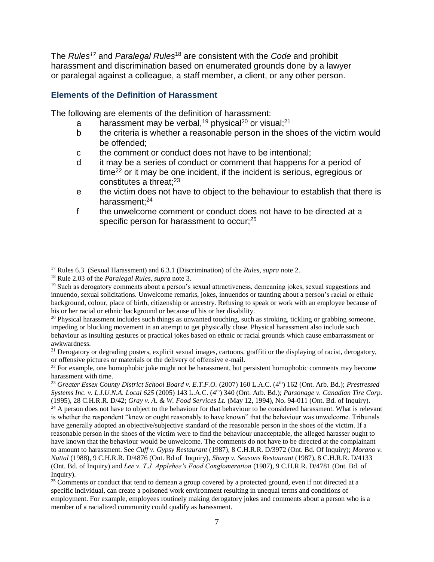The *Rules<sup>17</sup>* and *Paralegal Rules*<sup>18</sup> are consistent with the *Code* and prohibit harassment and discrimination based on enumerated grounds done by a lawyer or paralegal against a colleague, a staff member, a client, or any other person.

#### <span id="page-6-0"></span>**Elements of the Definition of Harassment**

The following are elements of the definition of harassment:

- a harassment may be verbal,<sup>19</sup> physical<sup>20</sup> or visual;<sup>21</sup>
- b the criteria is whether a reasonable person in the shoes of the victim would be offended;
- c the comment or conduct does not have to be intentional;
- d it may be a series of conduct or comment that happens for a period of time<sup>22</sup> or it may be one incident, if the incident is serious, egregious or constitutes a threat; 23
- e the victim does not have to object to the behaviour to establish that there is harassment;<sup>24</sup>
- f the unwelcome comment or conduct does not have to be directed at a specific person for harassment to occur;<sup>25</sup>

<sup>17</sup> Rules 6.3 (Sexual Harassment) and 6.3.1 (Discrimination) of the *Rules, supra* note 2.

<sup>18</sup> Rule 2.03 of the *Paralegal Rules, supra* note 3.

<sup>19</sup> Such as derogatory comments about a person's sexual attractiveness, demeaning jokes, sexual suggestions and innuendo, sexual solicitations. Unwelcome remarks, jokes, innuendos or taunting about a person's racial or ethnic background, colour, place of birth, citizenship or ancestry. Refusing to speak or work with an employee because of his or her racial or ethnic background or because of his or her disability.

 $20$  Physical harassment includes such things as unwanted touching, such as stroking, tickling or grabbing someone, impeding or blocking movement in an attempt to get physically close. Physical harassment also include such behaviour as insulting gestures or practical jokes based on ethnic or racial grounds which cause embarrassment or awkwardness.

 $21$  Derogatory or degrading posters, explicit sexual images, cartoons, graffiti or the displaying of racist, derogatory, or offensive pictures or materials or the delivery of offensive e-mail.

 $^{22}$  For example, one homophobic joke might not be harassment, but persistent homophobic comments may become harassment with time.

<sup>&</sup>lt;sup>23</sup> Greater Essex County District School Board v. E.T.F.O. (2007) 160 L.A.C. (4<sup>th</sup>) 162 (Ont. Arb. Bd.); *Prestressed Systems Inc. v. L.I.U.N.A. Local 625* (2005) 143 L.A.C. (4th) 340 (Ont. Arb. Bd.); *Parsonage v. Canadian Tire Corp.*  (1995), 28 C.H.R.R. D/42; *Gray v. A. & W. Food Services Lt.* (May 12, 1994), No. 94-011 (Ont. Bd. of Inquiry).

<sup>&</sup>lt;sup>24</sup> A person does not have to object to the behaviour for that behaviour to be considered harassment. What is relevant is whether the respondent "knew or ought reasonably to have known" that the behaviour was unwelcome. Tribunals have generally adopted an objective/subjective standard of the reasonable person in the shoes of the victim. If a reasonable person in the shoes of the victim were to find the behaviour unacceptable, the alleged harasser ought to have known that the behaviour would be unwelcome. The comments do not have to be directed at the complainant to amount to harassment. See *Cuff v. Gypsy Restaurant* (1987), 8 C.H.R.R. D/3972 (Ont. Bd. Of Inquiry); *Morano v. Nuttal* (1988), 9 C.H.R.R. D/4876 (Ont. Bd of Inquiry), *Sharp v. Seasons Restaurant* (1987), 8 C.H.R.R. D/4133 (Ont. Bd. of Inquiry) and *Lee v. T.J. Applebee's Food Conglomeration* (1987), 9 C.H.R.R. D/4781 (Ont. Bd. of Inquiry).

<sup>&</sup>lt;sup>25</sup> Comments or conduct that tend to demean a group covered by a protected ground, even if not directed at a specific individual, can create a poisoned work environment resulting in unequal terms and conditions of employment. For example, employees routinely making derogatory jokes and comments about a person who is a member of a racialized community could qualify as harassment.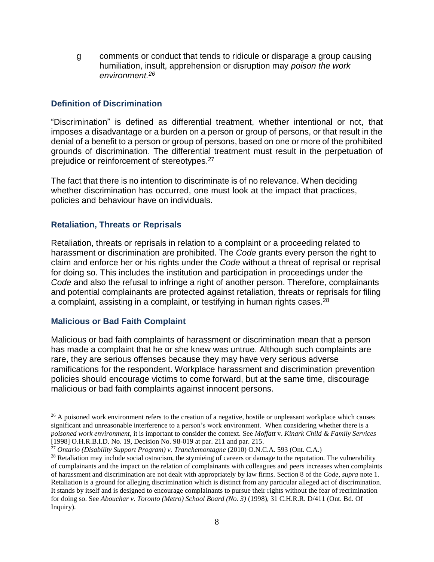g comments or conduct that tends to ridicule or disparage a group causing humiliation, insult, apprehension or disruption may *poison the work environment.<sup>26</sup>*

### <span id="page-7-0"></span>**Definition of Discrimination**

"Discrimination" is defined as differential treatment, whether intentional or not, that imposes a disadvantage or a burden on a person or group of persons, or that result in the denial of a benefit to a person or group of persons, based on one or more of the prohibited grounds of discrimination. The differential treatment must result in the perpetuation of prejudice or reinforcement of stereotypes.<sup>27</sup>

The fact that there is no intention to discriminate is of no relevance. When deciding whether discrimination has occurred, one must look at the impact that practices, policies and behaviour have on individuals.

### <span id="page-7-1"></span>**Retaliation, Threats or Reprisals**

Retaliation, threats or reprisals in relation to a complaint or a proceeding related to harassment or discrimination are prohibited. The *Code* grants every person the right to claim and enforce her or his rights under the *Code* without a threat of reprisal or reprisal for doing so. This includes the institution and participation in proceedings under the *Code* and also the refusal to infringe a right of another person. Therefore, complainants and potential complainants are protected against retaliation, threats or reprisals for filing a complaint, assisting in a complaint, or testifying in human rights cases.<sup>28</sup>

#### <span id="page-7-2"></span>**Malicious or Bad Faith Complaint**

 $\overline{a}$ 

Malicious or bad faith complaints of harassment or discrimination mean that a person has made a complaint that he or she knew was untrue. Although such complaints are rare, they are serious offenses because they may have very serious adverse ramifications for the respondent. Workplace harassment and discrimination prevention policies should encourage victims to come forward, but at the same time, discourage malicious or bad faith complaints against innocent persons.

<sup>&</sup>lt;sup>26</sup> A poisoned work environment refers to the creation of a negative, hostile or unpleasant workplace which causes significant and unreasonable interference to a person's work environment. When considering whether there is a *poisoned work environment*, it is important to consider the context. See *Moffatt* v. *Kinark Child & Family Services* [1998] O.H.R.B.I.D. No. 19, Decision No. 98-019 at par. 211 and par. 215.

<sup>27</sup> *Ontario (Disability Support Program) v. Tranchemontagne* (2010) O.N.C.A. 593 (Ont. C.A.)

 $28$  Retaliation may include social ostracism, the stymieing of careers or damage to the reputation. The vulnerability of complainants and the impact on the relation of complainants with colleagues and peers increases when complaints of harassment and discrimination are not dealt with appropriately by law firms. Section 8 of the *Code, supra* note 1. Retaliation is a ground for alleging discrimination which is distinct from any particular alleged act of discrimination. It stands by itself and is designed to encourage complainants to pursue their rights without the fear of recrimination for doing so. See *Abouchar v. Toronto (Metro) School Board (No. 3)* (1998), 31 C.H.R.R. D/411 (Ont. Bd. Of Inquiry).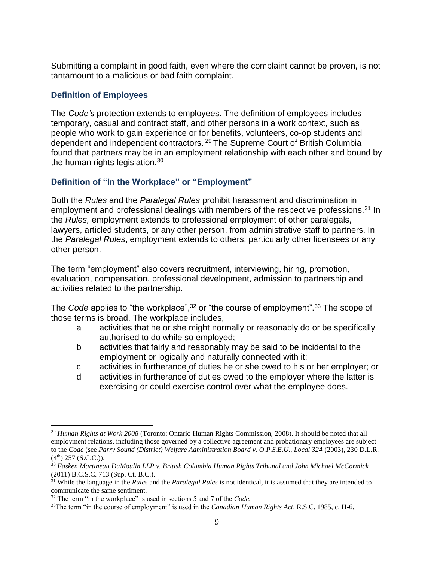Submitting a complaint in good faith, even where the complaint cannot be proven, is not tantamount to a malicious or bad faith complaint.

### <span id="page-8-0"></span>**Definition of Employees**

The *Code's* protection extends to employees. The definition of employees includes temporary, casual and contract staff, and other persons in a work context, such as people who work to gain experience or for benefits, volunteers, co-op students and dependent and independent contractors.<sup>29</sup> The Supreme Court of British Columbia found that partners may be in an employment relationship with each other and bound by the human rights legislation.<sup>30</sup>

### <span id="page-8-1"></span>**Definition of "In the Workplace" or "Employment"**

Both the *Rules* and the *Paralegal Rules* prohibit harassment and discrimination in employment and professional dealings with members of the respective professions.<sup>31</sup> In the *Rules,* employment extends to professional employment of other paralegals, lawyers, articled students, or any other person, from administrative staff to partners. In the *Paralegal Rules*, employment extends to others, particularly other licensees or any other person.

The term "employment" also covers recruitment, interviewing, hiring, promotion, evaluation, compensation, professional development, admission to partnership and activities related to the partnership.

The *Code* applies to "the workplace",<sup>32</sup> or "the course of employment".<sup>33</sup> The scope of those terms is broad. The workplace includes,

- a activities that he or she might normally or reasonably do or be specifically authorised to do while so employed;
- b activities that fairly and reasonably may be said to be incidental to the employment or logically and naturally connected with it;
- c activities in furtherance of duties he or she owed to his or her employer; or
- d activities in furtherance of duties owed to the employer where the latter is exercising or could exercise control over what the employee does.

<sup>29</sup> *Human Rights at Work 2008* (Toronto: Ontario Human Rights Commission, 2008). It should be noted that all employment relations, including those governed by a collective agreement and probationary employees are subject to the *Code* (see *Parry Sound (District) Welfare Administration Board v. O.P.S.E.U., Local 324* (2003), 230 D.L.R.  $(4<sup>th</sup>)$  257 (S.C.C.)).

<sup>30</sup> *Fasken Martineau DuMoulin LLP v. British Columbia Human Rights Tribunal and John Michael McCormick*  (2011) B.C.S.C. 713 (Sup. Ct. B.C.).

<sup>31</sup> While the language in the *Rules* and the *Paralegal Rules* is not identical, it is assumed that they are intended to communicate the same sentiment.

<sup>32</sup> The term "in the workplace" is used in sections 5 and 7 of the *Code.*

<sup>&</sup>lt;sup>33</sup>The term "in the course of employment" is used in the *Canadian Human Rights Act*, R.S.C. 1985, c. H-6.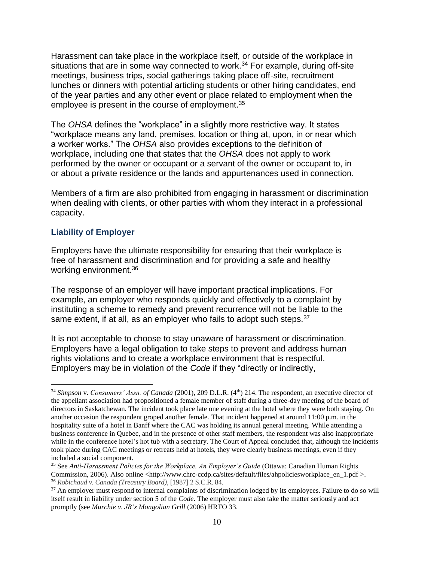Harassment can take place in the workplace itself, or outside of the workplace in situations that are in some way connected to work.<sup>34</sup> For example, during off-site meetings, business trips, social gatherings taking place off-site, recruitment lunches or dinners with potential articling students or other hiring candidates, end of the year parties and any other event or place related to employment when the employee is present in the course of employment.<sup>35</sup>

The *OHSA* defines the "workplace" in a slightly more restrictive way. It states "workplace means any land, premises, location or thing at, upon, in or near which a worker works." The *OHSA* also provides exceptions to the definition of workplace, including one that states that the *OHSA* does not apply to work performed by the owner or occupant or a servant of the owner or occupant to, in or about a private residence or the lands and appurtenances used in connection.

Members of a firm are also prohibited from engaging in harassment or discrimination when dealing with clients, or other parties with whom they interact in a professional capacity.

#### <span id="page-9-0"></span>**Liability of Employer**

 $\overline{a}$ 

Employers have the ultimate responsibility for ensuring that their workplace is free of harassment and discrimination and for providing a safe and healthy working environment.<sup>36</sup>

The response of an employer will have important practical implications. For example, an employer who responds quickly and effectively to a complaint by instituting a scheme to remedy and prevent recurrence will not be liable to the same extent, if at all, as an employer who fails to adopt such steps. 37

It is not acceptable to choose to stay unaware of harassment or discrimination. Employers have a legal obligation to take steps to prevent and address human rights violations and to create a workplace environment that is respectful. Employers may be in violation of the *Code* if they "directly or indirectly,

<sup>&</sup>lt;sup>34</sup> *Simpson v. Consumers' Assn. of Canada* (2001), 209 D.L.R. (4<sup>th</sup>) 214. The respondent, an executive director of the appellant association had propositioned a female member of staff during a three-day meeting of the board of directors in Saskatchewan. The incident took place late one evening at the hotel where they were both staying. On another occasion the respondent groped another female. That incident happened at around 11:00 p.m. in the hospitality suite of a hotel in Banff where the CAC was holding its annual general meeting. While attending a business conference in Quebec, and in the presence of other staff members, the respondent was also inappropriate while in the conference hotel's hot tub with a secretary. The Court of Appeal concluded that, although the incidents took place during CAC meetings or retreats held at hotels, they were clearly business meetings, even if they included a social component.

<sup>35</sup> See *Anti-Harassment Policies for the Workplace, An Employer's Guide* (Ottawa: Canadian Human Rights Commission, 2006). Also online <http://www.chrc-ccdp.ca/sites/default/files/ahpoliciesworkplace\_en\_1.pdf >. <sup>36</sup> *Robichaud v. Canada (Treasury Board)*, [1987] 2 S.C.R. 84.

<sup>&</sup>lt;sup>37</sup> An employer must respond to internal complaints of discrimination lodged by its employees. Failure to do so will itself result in liability under section 5 of the *Code*. The employer must also take the matter seriously and act promptly (see *Murchie v. JB's Mongolian Grill* (2006) HRTO 33.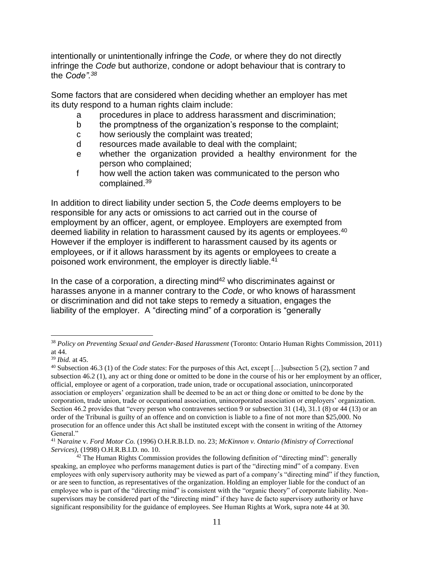intentionally or unintentionally infringe the *Code,* or where they do not directly infringe the *Code* but authorize, condone or adopt behaviour that is contrary to the *Code".<sup>38</sup>*

Some factors that are considered when deciding whether an employer has met its duty respond to a human rights claim include:

- a procedures in place to address harassment and discrimination;
- b the promptness of the organization's response to the complaint;
- c how seriously the complaint was treated;
- d resources made available to deal with the complaint;
- e whether the organization provided a healthy environment for the person who complained;
- f how well the action taken was communicated to the person who complained.<sup>39</sup>

In addition to direct liability under section 5, the *Code* deems employers to be responsible for any acts or omissions to act carried out in the course of employment by an officer, agent, or employee. Employers are exempted from deemed liability in relation to harassment caused by its agents or employees.<sup>40</sup> However if the employer is indifferent to harassment caused by its agents or employees, or if it allows harassment by its agents or employees to create a poisoned work environment, the employer is directly liable.<sup>41</sup>

In the case of a corporation, a directing mind<sup>42</sup> who discriminates against or harasses anyone in a manner contrary to the *Code*, or who knows of harassment or discrimination and did not take steps to remedy a situation, engages the liability of the employer. A "directing mind" of a corporation is "generally

<sup>&</sup>lt;sup>38</sup> *Policy on Preventing Sexual and Gender-Based Harassment* (Toronto: Ontario Human Rights Commission, 2011) at 44.

<sup>39</sup> *Ibid.* at 45.

<sup>40</sup> Subsection 46.3 (1) of the *Code* states: For the purposes of this Act, except […]subsection 5 (2), section 7 and subsection 46.2 (1), any act or thing done or omitted to be done in the course of his or her employment by an officer, official, employee or agent of a corporation, trade union, trade or occupational association, unincorporated association or employers' organization shall be deemed to be an act or thing done or omitted to be done by the corporation, trade union, trade or occupational association, unincorporated association or employers' organization. Section 46.2 provides that "every person who contravenes section 9 or subsection 31 (14), 31.1 (8) or 44 (13) or an order of the Tribunal is guilty of an offence and on conviction is liable to a fine of not more than \$25,000. No prosecution for an offence under this Act shall be instituted except with the consent in writing of the Attorney General."

<sup>41</sup> N*araine* v. *Ford Motor Co.* (1996) O.H.R.B.I.D. no. 23; *McKinnon v. Ontario (Ministry of Correctional Services)*, (1998) O.H.R.B.I.D. no. 10.

 $42$  The Human Rights Commission provides the following definition of "directing mind": generally speaking, an employee who performs management duties is part of the "directing mind" of a company. Even employees with only supervisory authority may be viewed as part of a company's "directing mind" if they function, or are seen to function, as representatives of the organization. Holding an employer liable for the conduct of an employee who is part of the "directing mind" is consistent with the "organic theory" of corporate liability. Nonsupervisors may be considered part of the "directing mind" if they have de facto supervisory authority or have significant responsibility for the guidance of employees. See Human Rights at Work, supra note 44 at 30.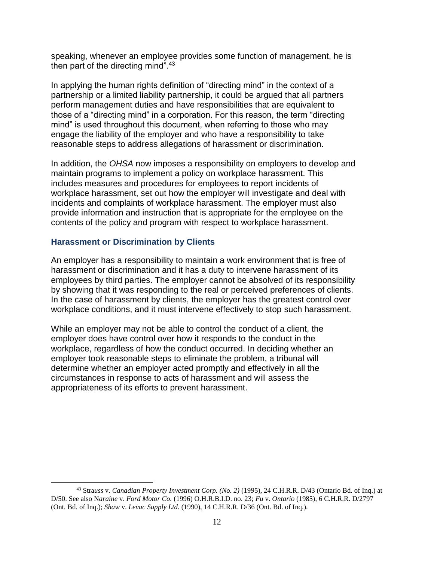speaking, whenever an employee provides some function of management, he is then part of the directing mind".<sup>43</sup>

In applying the human rights definition of "directing mind" in the context of a partnership or a limited liability partnership, it could be argued that all partners perform management duties and have responsibilities that are equivalent to those of a "directing mind" in a corporation. For this reason, the term "directing mind" is used throughout this document, when referring to those who may engage the liability of the employer and who have a responsibility to take reasonable steps to address allegations of harassment or discrimination.

In addition, the *OHSA* now imposes a responsibility on employers to develop and maintain programs to implement a policy on workplace harassment. This includes measures and procedures for employees to report incidents of workplace harassment, set out how the employer will investigate and deal with incidents and complaints of workplace harassment. The employer must also provide information and instruction that is appropriate for the employee on the contents of the policy and program with respect to workplace harassment.

### <span id="page-11-0"></span>**Harassment or Discrimination by Clients**

 $\overline{a}$ 

An employer has a responsibility to maintain a work environment that is free of harassment or discrimination and it has a duty to intervene harassment of its employees by third parties. The employer cannot be absolved of its responsibility by showing that it was responding to the real or perceived preferences of clients. In the case of harassment by clients, the employer has the greatest control over workplace conditions, and it must intervene effectively to stop such harassment.

While an employer may not be able to control the conduct of a client, the employer does have control over how it responds to the conduct in the workplace, regardless of how the conduct occurred. In deciding whether an employer took reasonable steps to eliminate the problem, a tribunal will determine whether an employer acted promptly and effectively in all the circumstances in response to acts of harassment and will assess the appropriateness of its efforts to prevent harassment.

<sup>43</sup> Stra*uss* v. *Canadian Property Investment Corp. (No. 2)* (1995), 24 C.H.R.R. D/43 (Ontario Bd. of Inq.) at D/50. See also N*araine* v. *Ford Motor Co.* (1996) O.H.R.B.I.D. no. 23; *Fu* v. *Ontario* (1985), 6 C.H.R.R. D/2797 (Ont. Bd. of Inq.); *Shaw* v. *Levac Supply Ltd.* (1990), 14 C.H.R.R. D/36 (Ont. Bd. of Inq.).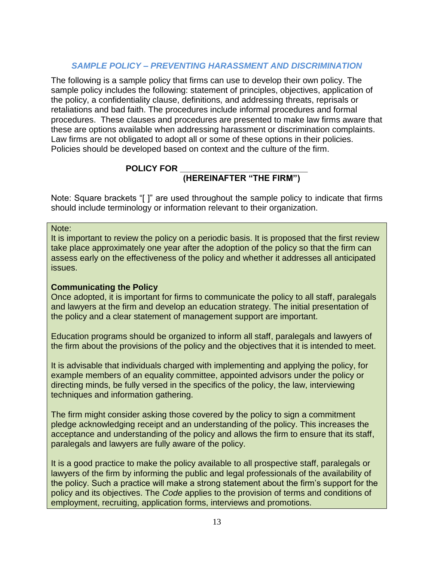### *SAMPLE POLICY – PREVENTING HARASSMENT AND DISCRIMINATION*

<span id="page-12-0"></span>The following is a sample policy that firms can use to develop their own policy. The sample policy includes the following: statement of principles, objectives, application of the policy, a confidentiality clause, definitions, and addressing threats, reprisals or retaliations and bad faith. The procedures include informal procedures and formal procedures. These clauses and procedures are presented to make law firms aware that these are options available when addressing harassment or discrimination complaints. Law firms are not obligated to adopt all or some of these options in their policies. Policies should be developed based on context and the culture of the firm.

### **POLICY FOR \_\_\_\_\_\_\_\_\_\_\_\_\_\_\_\_\_\_\_\_\_\_\_\_\_\_\_**

### **(HEREINAFTER "THE FIRM")**

Note: Square brackets "[ ]" are used throughout the sample policy to indicate that firms should include terminology or information relevant to their organization.

Note:

It is important to review the policy on a periodic basis. It is proposed that the first review take place approximately one year after the adoption of the policy so that the firm can assess early on the effectiveness of the policy and whether it addresses all anticipated issues.

### **Communicating the Policy**

Once adopted, it is important for firms to communicate the policy to all staff, paralegals and lawyers at the firm and develop an education strategy. The initial presentation of the policy and a clear statement of management support are important.

Education programs should be organized to inform all staff, paralegals and lawyers of the firm about the provisions of the policy and the objectives that it is intended to meet.

It is advisable that individuals charged with implementing and applying the policy, for example members of an equality committee, appointed advisors under the policy or directing minds, be fully versed in the specifics of the policy, the law, interviewing techniques and information gathering.

The firm might consider asking those covered by the policy to sign a commitment pledge acknowledging receipt and an understanding of the policy. This increases the acceptance and understanding of the policy and allows the firm to ensure that its staff, paralegals and lawyers are fully aware of the policy.

It is a good practice to make the policy available to all prospective staff, paralegals or lawyers of the firm by informing the public and legal professionals of the availability of the policy. Such a practice will make a strong statement about the firm's support for the policy and its objectives. The *Code* applies to the provision of terms and conditions of employment, recruiting, application forms, interviews and promotions.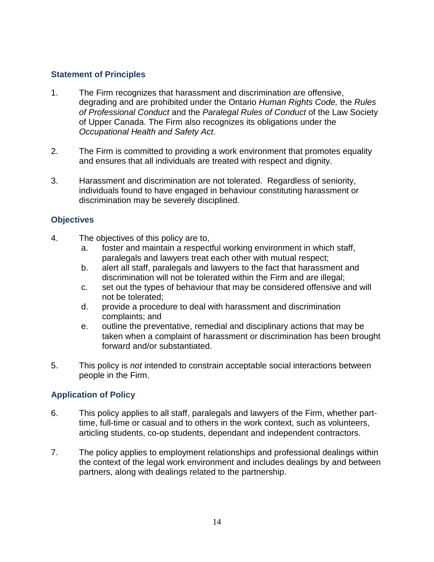### <span id="page-13-0"></span>**Statement of Principles**

- 1. The Firm recognizes that harassment and discrimination are offensive, degrading and are prohibited under the Ontario *Human Rights Code,* the *Rules of Professional Conduct* and the *Paralegal Rules of Conduct* of the Law Society of Upper Canada. The Firm also recognizes its obligations under the *Occupational Health and Safety Act*.
- 2. The Firm is committed to providing a work environment that promotes equality and ensures that all individuals are treated with respect and dignity.
- 3. Harassment and discrimination are not tolerated. Regardless of seniority, individuals found to have engaged in behaviour constituting harassment or discrimination may be severely disciplined.

### <span id="page-13-1"></span>**Objectives**

- 4. The objectives of this policy are to,
	- a. foster and maintain a respectful working environment in which staff, paralegals and lawyers treat each other with mutual respect;
	- b. alert all staff, paralegals and lawyers to the fact that harassment and discrimination will not be tolerated within the Firm and are illegal;
	- c. set out the types of behaviour that may be considered offensive and will not be tolerated;
	- d. provide a procedure to deal with harassment and discrimination complaints; and
	- e. outline the preventative, remedial and disciplinary actions that may be taken when a complaint of harassment or discrimination has been brought forward and/or substantiated.
- 5. This policy is *not* intended to constrain acceptable social interactions between people in the Firm.

### <span id="page-13-2"></span>**Application of Policy**

- 6. This policy applies to all staff, paralegals and lawyers of the Firm, whether parttime, full-time or casual and to others in the work context, such as volunteers, articling students, co-op students, dependant and independent contractors.
- 7. The policy applies to employment relationships and professional dealings within the context of the legal work environment and includes dealings by and between partners, along with dealings related to the partnership.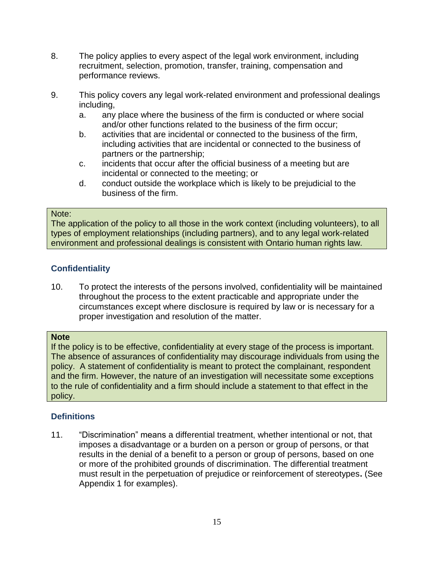- 8. The policy applies to every aspect of the legal work environment, including recruitment, selection, promotion, transfer, training, compensation and performance reviews.
- 9. This policy covers any legal work-related environment and professional dealings including,
	- a. any place where the business of the firm is conducted or where social and/or other functions related to the business of the firm occur;
	- b. activities that are incidental or connected to the business of the firm, including activities that are incidental or connected to the business of partners or the partnership;
	- c. incidents that occur after the official business of a meeting but are incidental or connected to the meeting; or
	- d. conduct outside the workplace which is likely to be prejudicial to the business of the firm.

#### Note:

The application of the policy to all those in the work context (including volunteers), to all types of employment relationships (including partners), and to any legal work-related environment and professional dealings is consistent with Ontario human rights law.

### <span id="page-14-0"></span>**Confidentiality**

10. To protect the interests of the persons involved, confidentiality will be maintained throughout the process to the extent practicable and appropriate under the circumstances except where disclosure is required by law or is necessary for a proper investigation and resolution of the matter.

### **Note**

If the policy is to be effective, confidentiality at every stage of the process is important. The absence of assurances of confidentiality may discourage individuals from using the policy. A statement of confidentiality is meant to protect the complainant, respondent and the firm. However, the nature of an investigation will necessitate some exceptions to the rule of confidentiality and a firm should include a statement to that effect in the policy.

### <span id="page-14-1"></span>**Definitions**

11. "Discrimination" means a differential treatment, whether intentional or not, that imposes a disadvantage or a burden on a person or group of persons, or that results in the denial of a benefit to a person or group of persons, based on one or more of the prohibited grounds of discrimination. The differential treatment must result in the perpetuation of prejudice or reinforcement of stereotypes**.** (See Appendix 1 for examples).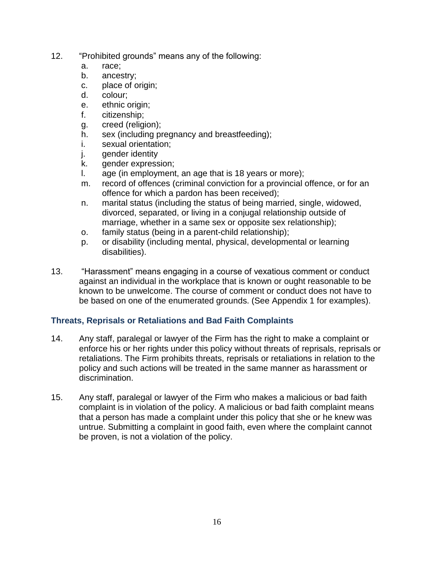- 12. "Prohibited grounds" means any of the following:
	- a. race;
	- b. ancestry;
	- c. place of origin;
	- d. colour;
	- e. ethnic origin;
	- f. citizenship;
	- g. creed (religion);
	- h. sex (including pregnancy and breastfeeding);
	- i. sexual orientation;
	- j. gender identity
	- k. gender expression;
	- l. age (in employment, an age that is 18 years or more);
	- m. record of offences (criminal conviction for a provincial offence, or for an offence for which a pardon has been received);
	- n. marital status (including the status of being married, single, widowed, divorced, separated, or living in a conjugal relationship outside of marriage, whether in a same sex or opposite sex relationship);
	- o. family status (being in a parent-child relationship);
	- p. or disability (including mental, physical, developmental or learning disabilities).
- 13. "Harassment" means engaging in a course of vexatious comment or conduct against an individual in the workplace that is known or ought reasonable to be known to be unwelcome. The course of comment or conduct does not have to be based on one of the enumerated grounds. (See Appendix 1 for examples).

### <span id="page-15-0"></span>**Threats, Reprisals or Retaliations and Bad Faith Complaints**

- 14. Any staff, paralegal or lawyer of the Firm has the right to make a complaint or enforce his or her rights under this policy without threats of reprisals, reprisals or retaliations. The Firm prohibits threats, reprisals or retaliations in relation to the policy and such actions will be treated in the same manner as harassment or discrimination.
- 15. Any staff, paralegal or lawyer of the Firm who makes a malicious or bad faith complaint is in violation of the policy. A malicious or bad faith complaint means that a person has made a complaint under this policy that she or he knew was untrue. Submitting a complaint in good faith, even where the complaint cannot be proven, is not a violation of the policy.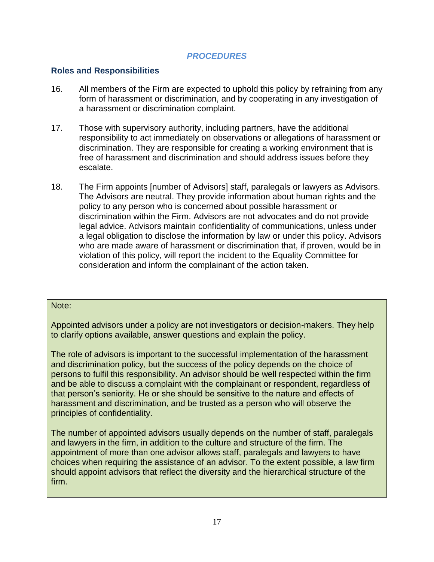### *PROCEDURES*

#### <span id="page-16-1"></span><span id="page-16-0"></span>**Roles and Responsibilities**

- 16. All members of the Firm are expected to uphold this policy by refraining from any form of harassment or discrimination, and by cooperating in any investigation of a harassment or discrimination complaint.
- 17. Those with supervisory authority, including partners, have the additional responsibility to act immediately on observations or allegations of harassment or discrimination. They are responsible for creating a working environment that is free of harassment and discrimination and should address issues before they escalate.
- 18. The Firm appoints [number of Advisors] staff, paralegals or lawyers as Advisors. The Advisors are neutral. They provide information about human rights and the policy to any person who is concerned about possible harassment or discrimination within the Firm. Advisors are not advocates and do not provide legal advice. Advisors maintain confidentiality of communications, unless under a legal obligation to disclose the information by law or under this policy. Advisors who are made aware of harassment or discrimination that, if proven, would be in violation of this policy, will report the incident to the Equality Committee for consideration and inform the complainant of the action taken.

#### Note:

Appointed advisors under a policy are not investigators or decision-makers. They help to clarify options available, answer questions and explain the policy.

The role of advisors is important to the successful implementation of the harassment and discrimination policy, but the success of the policy depends on the choice of persons to fulfil this responsibility. An advisor should be well respected within the firm and be able to discuss a complaint with the complainant or respondent, regardless of that person's seniority. He or she should be sensitive to the nature and effects of harassment and discrimination, and be trusted as a person who will observe the principles of confidentiality.

The number of appointed advisors usually depends on the number of staff, paralegals and lawyers in the firm, in addition to the culture and structure of the firm. The appointment of more than one advisor allows staff, paralegals and lawyers to have choices when requiring the assistance of an advisor. To the extent possible, a law firm should appoint advisors that reflect the diversity and the hierarchical structure of the firm.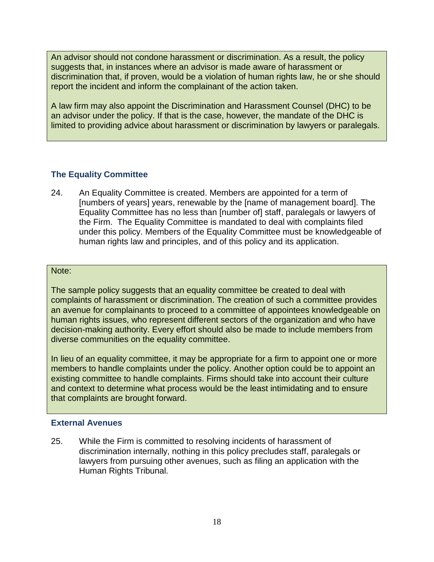An advisor should not condone harassment or discrimination. As a result, the policy suggests that, in instances where an advisor is made aware of harassment or discrimination that, if proven, would be a violation of human rights law, he or she should report the incident and inform the complainant of the action taken.

A law firm may also appoint the Discrimination and Harassment Counsel (DHC) to be an advisor under the policy. If that is the case, however, the mandate of the DHC is limited to providing advice about harassment or discrimination by lawyers or paralegals.

### <span id="page-17-0"></span>**The Equality Committee**

24. An Equality Committee is created. Members are appointed for a term of [numbers of years] years, renewable by the [name of management board]. The Equality Committee has no less than [number of] staff, paralegals or lawyers of the Firm. The Equality Committee is mandated to deal with complaints filed under this policy. Members of the Equality Committee must be knowledgeable of human rights law and principles, and of this policy and its application.

#### Note:

The sample policy suggests that an equality committee be created to deal with complaints of harassment or discrimination. The creation of such a committee provides an avenue for complainants to proceed to a committee of appointees knowledgeable on human rights issues, who represent different sectors of the organization and who have decision-making authority. Every effort should also be made to include members from diverse communities on the equality committee.

In lieu of an equality committee, it may be appropriate for a firm to appoint one or more members to handle complaints under the policy. Another option could be to appoint an existing committee to handle complaints. Firms should take into account their culture and context to determine what process would be the least intimidating and to ensure that complaints are brought forward.

#### <span id="page-17-1"></span>**External Avenues**

25. While the Firm is committed to resolving incidents of harassment of discrimination internally, nothing in this policy precludes staff, paralegals or lawyers from pursuing other avenues, such as filing an application with the Human Rights Tribunal.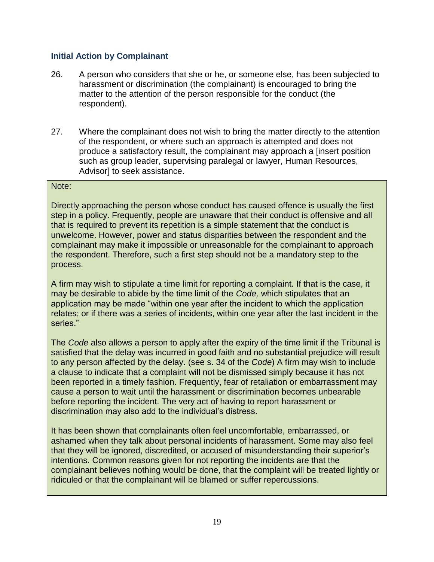### <span id="page-18-0"></span>**Initial Action by Complainant**

- 26. A person who considers that she or he, or someone else, has been subjected to harassment or discrimination (the complainant) is encouraged to bring the matter to the attention of the person responsible for the conduct (the respondent).
- 27. Where the complainant does not wish to bring the matter directly to the attention of the respondent, or where such an approach is attempted and does not produce a satisfactory result, the complainant may approach a [insert position such as group leader, supervising paralegal or lawyer, Human Resources, Advisor] to seek assistance.

#### Note:

Directly approaching the person whose conduct has caused offence is usually the first step in a policy. Frequently, people are unaware that their conduct is offensive and all that is required to prevent its repetition is a simple statement that the conduct is unwelcome. However, power and status disparities between the respondent and the complainant may make it impossible or unreasonable for the complainant to approach the respondent. Therefore, such a first step should not be a mandatory step to the process.

A firm may wish to stipulate a time limit for reporting a complaint. If that is the case, it may be desirable to abide by the time limit of the *Code,* which stipulates that an application may be made "within one year after the incident to which the application relates; or if there was a series of incidents, within one year after the last incident in the series."

The *Code* also allows a person to apply after the expiry of the time limit if the Tribunal is satisfied that the delay was incurred in good faith and no substantial prejudice will result to any person affected by the delay. (see s. 34 of the *Code*) A firm may wish to include a clause to indicate that a complaint will not be dismissed simply because it has not been reported in a timely fashion. Frequently, fear of retaliation or embarrassment may cause a person to wait until the harassment or discrimination becomes unbearable before reporting the incident. The very act of having to report harassment or discrimination may also add to the individual's distress.

It has been shown that complainants often feel uncomfortable, embarrassed, or ashamed when they talk about personal incidents of harassment. Some may also feel that they will be ignored, discredited, or accused of misunderstanding their superior's intentions. Common reasons given for not reporting the incidents are that the complainant believes nothing would be done, that the complaint will be treated lightly or ridiculed or that the complainant will be blamed or suffer repercussions.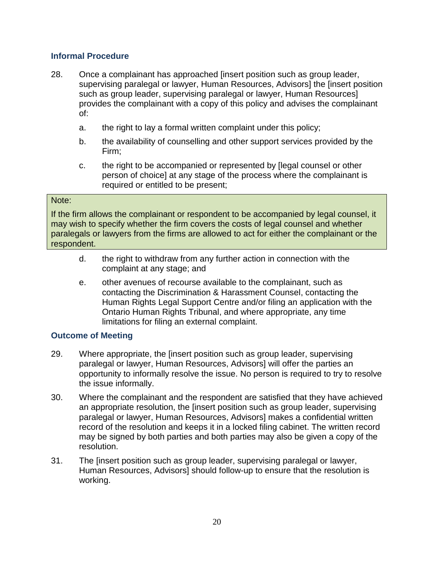### <span id="page-19-0"></span>**Informal Procedure**

- 28. Once a complainant has approached [insert position such as group leader, supervising paralegal or lawyer, Human Resources, Advisors] the [insert position such as group leader, supervising paralegal or lawyer, Human Resources] provides the complainant with a copy of this policy and advises the complainant of:
	- a. the right to lay a formal written complaint under this policy;
	- b. the availability of counselling and other support services provided by the Firm;
	- c. the right to be accompanied or represented by [legal counsel or other person of choice] at any stage of the process where the complainant is required or entitled to be present;

#### Note:

If the firm allows the complainant or respondent to be accompanied by legal counsel, it may wish to specify whether the firm covers the costs of legal counsel and whether paralegals or lawyers from the firms are allowed to act for either the complainant or the respondent.

- d. the right to withdraw from any further action in connection with the complaint at any stage; and
- e. other avenues of recourse available to the complainant, such as contacting the Discrimination & Harassment Counsel, contacting the Human Rights Legal Support Centre and/or filing an application with the Ontario Human Rights Tribunal, and where appropriate, any time limitations for filing an external complaint.

### <span id="page-19-1"></span>**Outcome of Meeting**

- 29. Where appropriate, the [insert position such as group leader, supervising paralegal or lawyer, Human Resources, Advisors] will offer the parties an opportunity to informally resolve the issue. No person is required to try to resolve the issue informally.
- 30. Where the complainant and the respondent are satisfied that they have achieved an appropriate resolution, the [insert position such as group leader, supervising paralegal or lawyer, Human Resources, Advisors] makes a confidential written record of the resolution and keeps it in a locked filing cabinet. The written record may be signed by both parties and both parties may also be given a copy of the resolution.
- 31. The [insert position such as group leader, supervising paralegal or lawyer, Human Resources, Advisors] should follow-up to ensure that the resolution is working.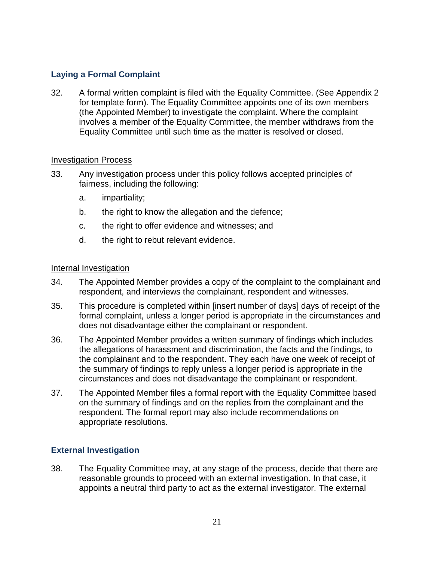### <span id="page-20-0"></span>**Laying a Formal Complaint**

32. A formal written complaint is filed with the Equality Committee. (See Appendix 2 for template form). The Equality Committee appoints one of its own members (the Appointed Member) to investigate the complaint. Where the complaint involves a member of the Equality Committee, the member withdraws from the Equality Committee until such time as the matter is resolved or closed.

#### Investigation Process

- 33. Any investigation process under this policy follows accepted principles of fairness, including the following:
	- a. impartiality;
	- b. the right to know the allegation and the defence;
	- c. the right to offer evidence and witnesses; and
	- d. the right to rebut relevant evidence.

#### Internal Investigation

- 34. The Appointed Member provides a copy of the complaint to the complainant and respondent, and interviews the complainant, respondent and witnesses.
- 35. This procedure is completed within [insert number of days] days of receipt of the formal complaint, unless a longer period is appropriate in the circumstances and does not disadvantage either the complainant or respondent.
- 36. The Appointed Member provides a written summary of findings which includes the allegations of harassment and discrimination, the facts and the findings, to the complainant and to the respondent. They each have one week of receipt of the summary of findings to reply unless a longer period is appropriate in the circumstances and does not disadvantage the complainant or respondent.
- 37. The Appointed Member files a formal report with the Equality Committee based on the summary of findings and on the replies from the complainant and the respondent. The formal report may also include recommendations on appropriate resolutions.

### <span id="page-20-1"></span>**External Investigation**

38. The Equality Committee may, at any stage of the process, decide that there are reasonable grounds to proceed with an external investigation. In that case, it appoints a neutral third party to act as the external investigator. The external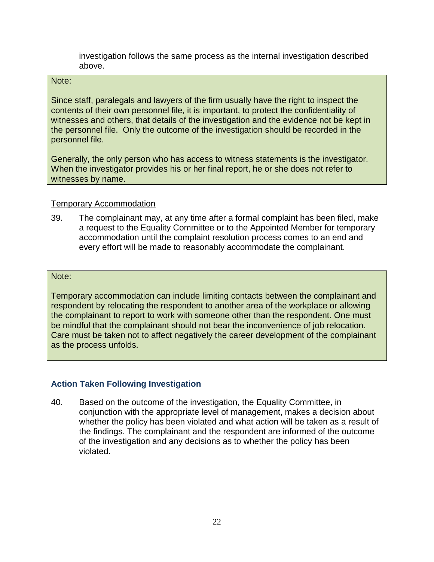investigation follows the same process as the internal investigation described above.

#### Note:

Since staff, paralegals and lawyers of the firm usually have the right to inspect the contents of their own personnel file, it is important, to protect the confidentiality of witnesses and others, that details of the investigation and the evidence not be kept in the personnel file. Only the outcome of the investigation should be recorded in the personnel file.

Generally, the only person who has access to witness statements is the investigator. When the investigator provides his or her final report, he or she does not refer to witnesses by name.

### Temporary Accommodation

39. The complainant may, at any time after a formal complaint has been filed, make a request to the Equality Committee or to the Appointed Member for temporary accommodation until the complaint resolution process comes to an end and every effort will be made to reasonably accommodate the complainant.

#### Note:

Temporary accommodation can include limiting contacts between the complainant and respondent by relocating the respondent to another area of the workplace or allowing the complainant to report to work with someone other than the respondent. One must be mindful that the complainant should not bear the inconvenience of job relocation. Care must be taken not to affect negatively the career development of the complainant as the process unfolds.

### <span id="page-21-0"></span>**Action Taken Following Investigation**

40. Based on the outcome of the investigation, the Equality Committee, in conjunction with the appropriate level of management, makes a decision about whether the policy has been violated and what action will be taken as a result of the findings. The complainant and the respondent are informed of the outcome of the investigation and any decisions as to whether the policy has been violated.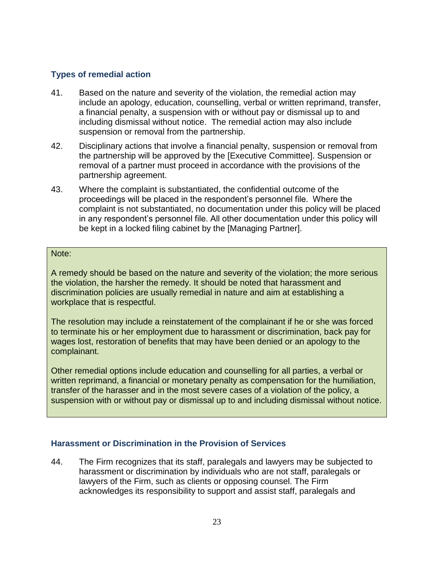### <span id="page-22-0"></span>**Types of remedial action**

- 41. Based on the nature and severity of the violation, the remedial action may include an apology, education, counselling, verbal or written reprimand, transfer, a financial penalty, a suspension with or without pay or dismissal up to and including dismissal without notice. The remedial action may also include suspension or removal from the partnership.
- 42. Disciplinary actions that involve a financial penalty, suspension or removal from the partnership will be approved by the [Executive Committee]. Suspension or removal of a partner must proceed in accordance with the provisions of the partnership agreement.
- 43. Where the complaint is substantiated, the confidential outcome of the proceedings will be placed in the respondent's personnel file. Where the complaint is not substantiated, no documentation under this policy will be placed in any respondent's personnel file. All other documentation under this policy will be kept in a locked filing cabinet by the [Managing Partner].

#### Note:

A remedy should be based on the nature and severity of the violation; the more serious the violation, the harsher the remedy. It should be noted that harassment and discrimination policies are usually remedial in nature and aim at establishing a workplace that is respectful.

The resolution may include a reinstatement of the complainant if he or she was forced to terminate his or her employment due to harassment or discrimination, back pay for wages lost, restoration of benefits that may have been denied or an apology to the complainant.

Other remedial options include education and counselling for all parties, a verbal or written reprimand, a financial or monetary penalty as compensation for the humiliation, transfer of the harasser and in the most severe cases of a violation of the policy, a suspension with or without pay or dismissal up to and including dismissal without notice.

### <span id="page-22-1"></span>**Harassment or Discrimination in the Provision of Services**

44. The Firm recognizes that its staff, paralegals and lawyers may be subjected to harassment or discrimination by individuals who are not staff, paralegals or lawyers of the Firm, such as clients or opposing counsel. The Firm acknowledges its responsibility to support and assist staff, paralegals and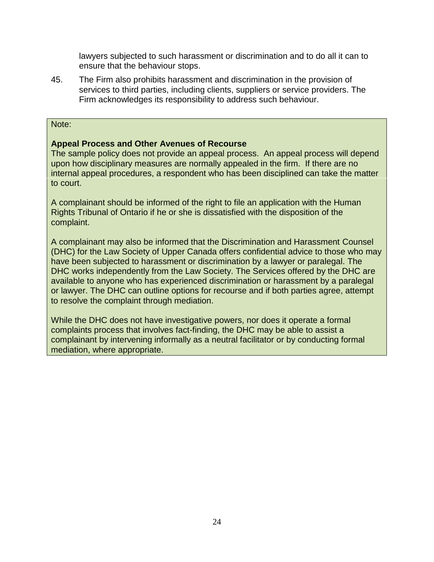lawyers subjected to such harassment or discrimination and to do all it can to ensure that the behaviour stops.

45. The Firm also prohibits harassment and discrimination in the provision of services to third parties, including clients, suppliers or service providers. The Firm acknowledges its responsibility to address such behaviour.

#### Note:

#### **Appeal Process and Other Avenues of Recourse**

The sample policy does not provide an appeal process. An appeal process will depend upon how disciplinary measures are normally appealed in the firm. If there are no internal appeal procedures, a respondent who has been disciplined can take the matter to court.

A complainant should be informed of the right to file an application with the Human Rights Tribunal of Ontario if he or she is dissatisfied with the disposition of the complaint.

A complainant may also be informed that the Discrimination and Harassment Counsel (DHC) for the Law Society of Upper Canada offers confidential advice to those who may have been subjected to harassment or discrimination by a lawyer or paralegal. The DHC works independently from the Law Society. The Services offered by the DHC are available to anyone who has experienced discrimination or harassment by a paralegal or lawyer. The DHC can outline options for recourse and if both parties agree, attempt to resolve the complaint through mediation.

While the DHC does not have investigative powers, nor does it operate a formal complaints process that involves fact-finding, the DHC may be able to assist a complainant by intervening informally as a neutral facilitator or by conducting formal mediation, where appropriate.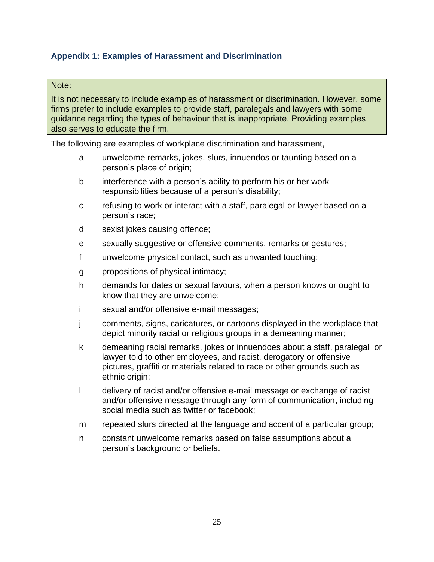### <span id="page-24-0"></span>**Appendix 1: Examples of Harassment and Discrimination**

#### Note:

It is not necessary to include examples of harassment or discrimination. However, some firms prefer to include examples to provide staff, paralegals and lawyers with some guidance regarding the types of behaviour that is inappropriate. Providing examples also serves to educate the firm.

The following are examples of workplace discrimination and harassment,

- a unwelcome remarks, jokes, slurs, innuendos or taunting based on a person's place of origin;
- b interference with a person's ability to perform his or her work responsibilities because of a person's disability;
- c refusing to work or interact with a staff, paralegal or lawyer based on a person's race;
- d sexist jokes causing offence;
- e sexually suggestive or offensive comments, remarks or gestures;
- f unwelcome physical contact, such as unwanted touching;
- g propositions of physical intimacy;
- h demands for dates or sexual favours, when a person knows or ought to know that they are unwelcome;
- i sexual and/or offensive e-mail messages;
- j comments, signs, caricatures, or cartoons displayed in the workplace that depict minority racial or religious groups in a demeaning manner;
- k demeaning racial remarks, jokes or innuendoes about a staff, paralegal or lawyer told to other employees, and racist, derogatory or offensive pictures, graffiti or materials related to race or other grounds such as ethnic origin;
- l delivery of racist and/or offensive e-mail message or exchange of racist and/or offensive message through any form of communication, including social media such as twitter or facebook;
- m repeated slurs directed at the language and accent of a particular group;
- n constant unwelcome remarks based on false assumptions about a person's background or beliefs.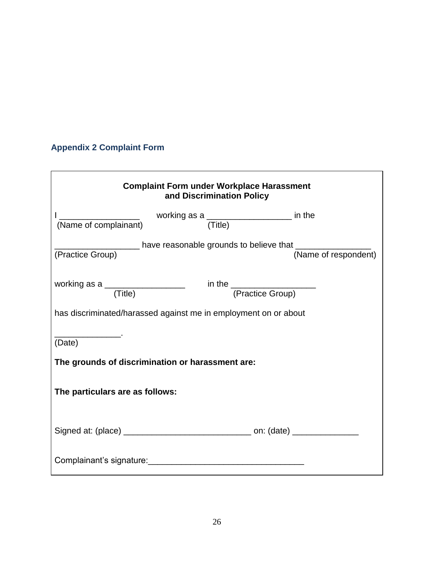# <span id="page-25-0"></span>**Appendix 2 Complaint Form**

| <b>Complaint Form under Workplace Harassment</b><br>and Discrimination Policy |  |  |  |
|-------------------------------------------------------------------------------|--|--|--|
| $\frac{1}{2}$ working as a $\frac{1}{2}$ in the $\frac{1}{2}$                 |  |  |  |
|                                                                               |  |  |  |
| working as a $\qquad \qquad$ in the $\qquad \qquad$ (Practice Group)          |  |  |  |
| has discriminated/harassed against me in employment on or about               |  |  |  |
| (Date)                                                                        |  |  |  |
| The grounds of discrimination or harassment are:                              |  |  |  |
| The particulars are as follows:                                               |  |  |  |
|                                                                               |  |  |  |
| Complainant's signature: Complainant's signature:                             |  |  |  |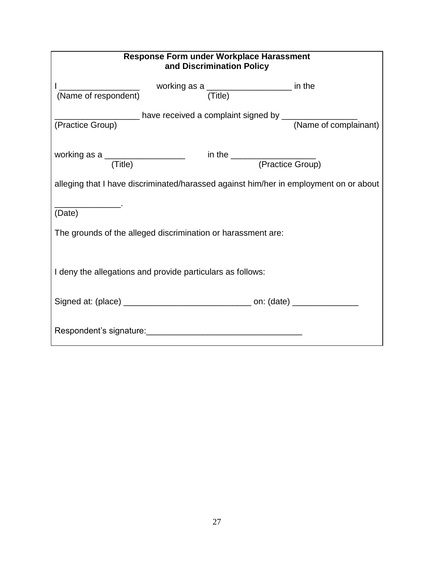| <b>Response Form under Workplace Harassment</b><br>and Discrimination Policy                                    |  |  |  |
|-----------------------------------------------------------------------------------------------------------------|--|--|--|
| working as a ____________________ in the<br>(Name of respondent)<br>(Title)                                     |  |  |  |
|                                                                                                                 |  |  |  |
|                                                                                                                 |  |  |  |
| working as a $\frac{1}{(Title)}$ in the $\frac{1}{(Practice Group)}$                                            |  |  |  |
| alleging that I have discriminated/harassed against him/her in employment on or about                           |  |  |  |
| (Date)                                                                                                          |  |  |  |
| The grounds of the alleged discrimination or harassment are:                                                    |  |  |  |
| I deny the allegations and provide particulars as follows:                                                      |  |  |  |
|                                                                                                                 |  |  |  |
| Respondent's signature: Network and the set of the set of the set of the set of the set of the set of the set o |  |  |  |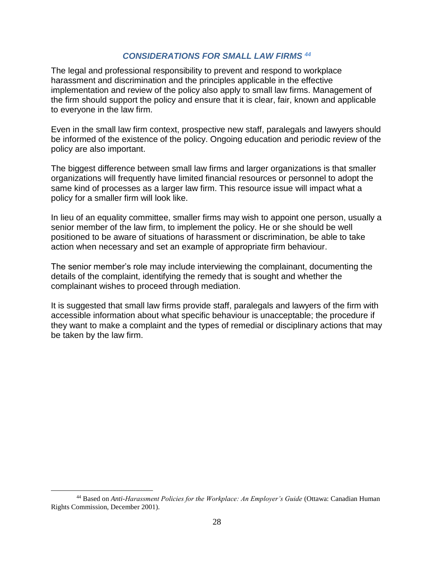### *CONSIDERATIONS FOR SMALL LAW FIRMS <sup>44</sup>*

<span id="page-27-0"></span>The legal and professional responsibility to prevent and respond to workplace harassment and discrimination and the principles applicable in the effective implementation and review of the policy also apply to small law firms. Management of the firm should support the policy and ensure that it is clear, fair, known and applicable to everyone in the law firm.

Even in the small law firm context, prospective new staff, paralegals and lawyers should be informed of the existence of the policy. Ongoing education and periodic review of the policy are also important.

The biggest difference between small law firms and larger organizations is that smaller organizations will frequently have limited financial resources or personnel to adopt the same kind of processes as a larger law firm. This resource issue will impact what a policy for a smaller firm will look like.

In lieu of an equality committee, smaller firms may wish to appoint one person, usually a senior member of the law firm, to implement the policy. He or she should be well positioned to be aware of situations of harassment or discrimination, be able to take action when necessary and set an example of appropriate firm behaviour.

The senior member's role may include interviewing the complainant, documenting the details of the complaint, identifying the remedy that is sought and whether the complainant wishes to proceed through mediation.

It is suggested that small law firms provide staff, paralegals and lawyers of the firm with accessible information about what specific behaviour is unacceptable; the procedure if they want to make a complaint and the types of remedial or disciplinary actions that may be taken by the law firm.

<sup>44</sup> Based on *Anti-Harassment Policies for the Workplace: An Employer's Guide* (Ottawa: Canadian Human Rights Commission, December 2001).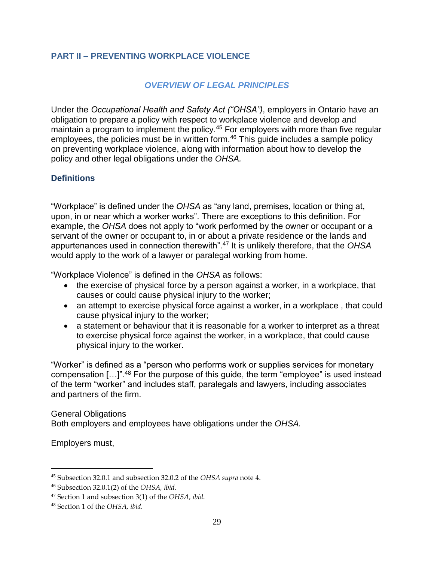### <span id="page-28-0"></span>**PART II – PREVENTING WORKPLACE VIOLENCE**

### *OVERVIEW OF LEGAL PRINCIPLES*

<span id="page-28-1"></span>Under the *Occupational Health and Safety Act ("OHSA")*, employers in Ontario have an obligation to prepare a policy with respect to workplace violence and develop and maintain a program to implement the policy.<sup>45</sup> For employers with more than five regular employees, the policies must be in written form.<sup>46</sup> This guide includes a sample policy on preventing workplace violence, along with information about how to develop the policy and other legal obligations under the *OHSA.* 

### <span id="page-28-2"></span>**Definitions**

"Workplace" is defined under the *OHSA* as "any land, premises, location or thing at, upon, in or near which a worker works". There are exceptions to this definition. For example, the *OHSA* does not apply to "work performed by the owner or occupant or a servant of the owner or occupant to, in or about a private residence or the lands and appurtenances used in connection therewith".<sup>47</sup> It is unlikely therefore, that the *OHSA*  would apply to the work of a lawyer or paralegal working from home.

"Workplace Violence" is defined in the *OHSA* as follows:

- the exercise of physical force by a person against a worker, in a workplace, that causes or could cause physical injury to the worker;
- an attempt to exercise physical force against a worker, in a workplace, that could cause physical injury to the worker;
- a statement or behaviour that it is reasonable for a worker to interpret as a threat to exercise physical force against the worker, in a workplace, that could cause physical injury to the worker.

"Worker" is defined as a "person who performs work or supplies services for monetary compensation […]".<sup>48</sup> For the purpose of this guide, the term "employee" is used instead of the term "worker" and includes staff, paralegals and lawyers, including associates and partners of the firm.

General Obligations Both employers and employees have obligations under the *OHSA.*

Employers must,

<sup>45</sup> Subsection 32.0.1 and subsection 32.0.2 of the *OHSA supra* note 4.

<sup>46</sup> Subsection 32.0.1(2) of the *OHSA, ibid.* 

<sup>47</sup> Section 1 and subsection 3(1) of the *OHSA, ibid.* 

<sup>48</sup> Section 1 of the *OHSA, ibid.*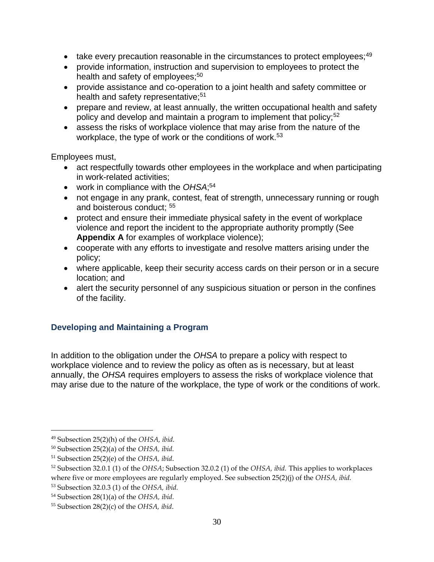- take every precaution reasonable in the circumstances to protect employees;<sup>49</sup>
- provide information, instruction and supervision to employees to protect the health and safety of employees;<sup>50</sup>
- provide assistance and co-operation to a joint health and safety committee or health and safety representative;<sup>51</sup>
- prepare and review, at least annually, the written occupational health and safety policy and develop and maintain a program to implement that policy;<sup>52</sup>
- assess the risks of workplace violence that may arise from the nature of the workplace, the type of work or the conditions of work.<sup>53</sup>

Employees must,

- act respectfully towards other employees in the workplace and when participating in work-related activities;
- work in compliance with the OHSA;<sup>54</sup>
- not engage in any prank, contest, feat of strength, unnecessary running or rough and boisterous conduct; <sup>55</sup>
- protect and ensure their immediate physical safety in the event of workplace violence and report the incident to the appropriate authority promptly (See **Appendix A** for examples of workplace violence);
- cooperate with any efforts to investigate and resolve matters arising under the policy;
- where applicable, keep their security access cards on their person or in a secure location; and
- alert the security personnel of any suspicious situation or person in the confines of the facility.

### <span id="page-29-0"></span>**Developing and Maintaining a Program**

In addition to the obligation under the *OHSA* to prepare a policy with respect to workplace violence and to review the policy as often as is necessary, but at least annually, the *OHSA* requires employers to assess the risks of workplace violence that may arise due to the nature of the workplace, the type of work or the conditions of work.

<sup>49</sup> Subsection 25(2)(h) of the *OHSA, ibid.*

<sup>50</sup> Subsection 25(2)(a) of the *OHSA, ibid.*

<sup>51</sup> Subsection 25(2)(e) of the *OHSA, ibid*.

<sup>52</sup> Subsection 32.0.1 (1) of the *OHSA*; Subsection 32.0.2 (1) of the *OHSA, ibid.* This applies to workplaces

where five or more employees are regularly employed. See subsection 25(2)(j) of the *OHSA, ibid.*

<sup>53</sup> Subsection 32.0.3 (1) of the *OHSA, ibid.*

<sup>54</sup> Subsection 28(1)(a) of the *OHSA, ibid.*

<sup>55</sup> Subsection 28(2)(c) of the *OHSA, ibid*.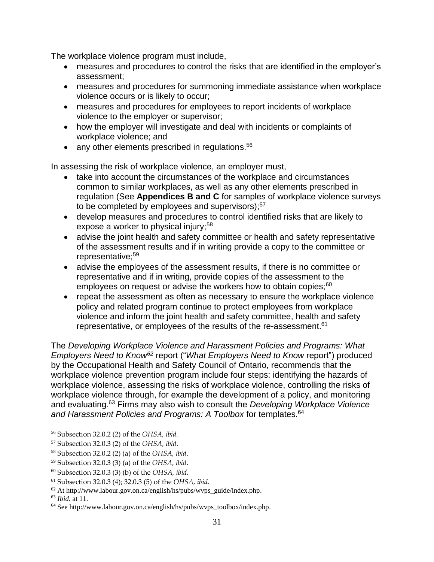The workplace violence program must include,

- measures and procedures to control the risks that are identified in the employer's assessment;
- measures and procedures for summoning immediate assistance when workplace violence occurs or is likely to occur;
- measures and procedures for employees to report incidents of workplace violence to the employer or supervisor;
- how the employer will investigate and deal with incidents or complaints of workplace violence; and
- any other elements prescribed in regulations.<sup>56</sup>

In assessing the risk of workplace violence, an employer must,

- take into account the circumstances of the workplace and circumstances common to similar workplaces, as well as any other elements prescribed in regulation (See **Appendices B and C** for samples of workplace violence surveys to be completed by employees and supervisors);<sup>57</sup>
- develop measures and procedures to control identified risks that are likely to expose a worker to physical injury;<sup>58</sup>
- advise the joint health and safety committee or health and safety representative of the assessment results and if in writing provide a copy to the committee or representative;<sup>59</sup>
- advise the employees of the assessment results, if there is no committee or representative and if in writing, provide copies of the assessment to the employees on request or advise the workers how to obtain copies;<sup>60</sup>
- repeat the assessment as often as necessary to ensure the workplace violence policy and related program continue to protect employees from workplace violence and inform the joint health and safety committee, health and safety representative, or employees of the results of the re-assessment.<sup>61</sup>

The *Developing Workplace Violence and Harassment Policies and Programs: What Employers Need to Know<sup>62</sup>* report ("*What Employers Need to Know* report") produced by the Occupational Health and Safety Council of Ontario, recommends that the workplace violence prevention program include four steps: identifying the hazards of workplace violence, assessing the risks of workplace violence, controlling the risks of workplace violence through, for example the development of a policy, and monitoring and evaluating.<sup>63</sup> Firms may also wish to consult the *Developing Workplace Violence*  and Harassment Policies and Programs: A Toolbox for templates.<sup>64</sup>

<sup>56</sup> Subsection 32.0.2 (2) of the *OHSA, ibid.*

<sup>57</sup> Subsection 32.0.3 (2) of the *OHSA, ibid*.

<sup>58</sup> Subsection 32.0.2 (2) (a) of the *OHSA, ibid*.

<sup>59</sup> Subsection 32.0.3 (3) (a) of the *OHSA, ibid*.

<sup>60</sup> Subsection 32.0.3 (3) (b) of the *OHSA, ibid*.

<sup>61</sup> Subsection 32.0.3 (4); 32.0.3 (5) of the *OHSA, ibid*.

 $62$  At http://www.labour.gov.on.ca/english/hs/pubs/wvps\_guide/index.php.

<sup>63</sup> *Ibid.* at 11.

<sup>64</sup> See http://www.labour.gov.on.ca/english/hs/pubs/wvps\_toolbox/index.php.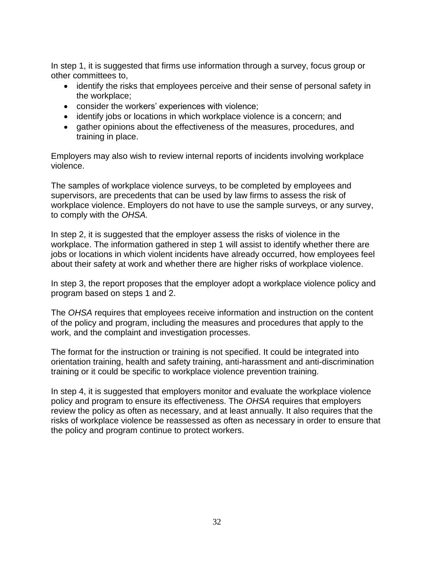In step 1, it is suggested that firms use information through a survey, focus group or other committees to,

- identify the risks that employees perceive and their sense of personal safety in the workplace;
- consider the workers' experiences with violence;
- identify jobs or locations in which workplace violence is a concern; and
- gather opinions about the effectiveness of the measures, procedures, and training in place.

Employers may also wish to review internal reports of incidents involving workplace violence.

The samples of workplace violence surveys, to be completed by employees and supervisors, are precedents that can be used by law firms to assess the risk of workplace violence. Employers do not have to use the sample surveys, or any survey, to comply with the *OHSA.* 

In step 2, it is suggested that the employer assess the risks of violence in the workplace. The information gathered in step 1 will assist to identify whether there are jobs or locations in which violent incidents have already occurred, how employees feel about their safety at work and whether there are higher risks of workplace violence.

In step 3, the report proposes that the employer adopt a workplace violence policy and program based on steps 1 and 2.

The *OHSA* requires that employees receive information and instruction on the content of the policy and program, including the measures and procedures that apply to the work, and the complaint and investigation processes.

The format for the instruction or training is not specified. It could be integrated into orientation training, health and safety training, anti-harassment and anti-discrimination training or it could be specific to workplace violence prevention training.

In step 4, it is suggested that employers monitor and evaluate the workplace violence policy and program to ensure its effectiveness. The *OHSA* requires that employers review the policy as often as necessary, and at least annually. It also requires that the risks of workplace violence be reassessed as often as necessary in order to ensure that the policy and program continue to protect workers.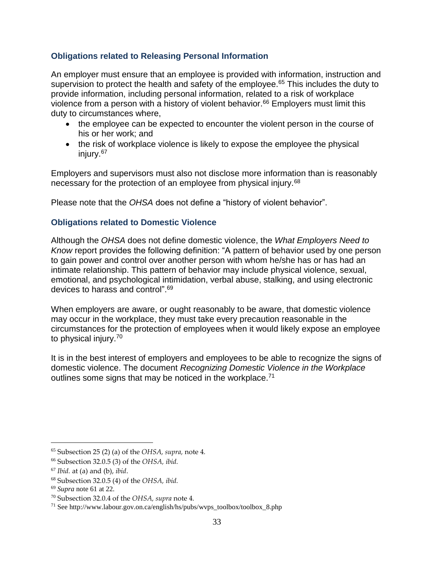### <span id="page-32-0"></span>**Obligations related to Releasing Personal Information**

An employer must ensure that an employee is provided with information, instruction and supervision to protect the health and safety of the employee.<sup>65</sup> This includes the duty to provide information, including personal information, related to a risk of workplace violence from a person with a history of violent behavior.<sup>66</sup> Employers must limit this duty to circumstances where,

- the employee can be expected to encounter the violent person in the course of his or her work; and
- the risk of workplace violence is likely to expose the employee the physical injury.<sup>67</sup>

Employers and supervisors must also not disclose more information than is reasonably necessary for the protection of an employee from physical injury.<sup>68</sup>

Please note that the *OHSA* does not define a "history of violent behavior".

### <span id="page-32-1"></span>**Obligations related to Domestic Violence**

Although the *OHSA* does not define domestic violence, the *What Employers Need to Know* report provides the following definition: "A pattern of behavior used by one person to gain power and control over another person with whom he/she has or has had an intimate relationship. This pattern of behavior may include physical violence, sexual, emotional, and psychological intimidation, verbal abuse, stalking, and using electronic devices to harass and control".<sup>69</sup>

When employers are aware, or ought reasonably to be aware, that domestic violence may occur in the workplace, they must take every precaution reasonable in the circumstances for the protection of employees when it would likely expose an employee to physical injury.<sup>70</sup>

It is in the best interest of employers and employees to be able to recognize the signs of domestic violence. The document *Recognizing Domestic Violence in the Workplace*  outlines some signs that may be noticed in the workplace.<sup>71</sup>

<sup>65</sup> Subsection 25 (2) (a) of the *OHSA, supra,* note 4*.*

<sup>66</sup> Subsection 32.0.5 (3) of the *OHSA, ibid.*

<sup>67</sup> *Ibid.* at (a) and (b), *ibid*.

<sup>68</sup> Subsection 32.0.5 (4) of the *OHSA, ibid.*

<sup>69</sup> *Supra* note 61 at 22.

<sup>70</sup> Subsection 32.0.4 of the *OHSA, supra* note 4*.*

<sup>71</sup> See http://www.labour.gov.on.ca/english/hs/pubs/wvps\_toolbox/toolbox\_8.php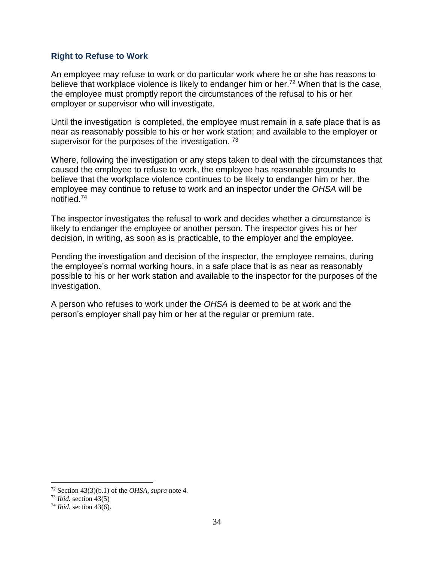#### <span id="page-33-0"></span>**Right to Refuse to Work**

An employee may refuse to work or do particular work where he or she has reasons to believe that workplace violence is likely to endanger him or her.<sup>72</sup> When that is the case, the employee must promptly report the circumstances of the refusal to his or her employer or supervisor who will investigate.

Until the investigation is completed, the employee must remain in a safe place that is as near as reasonably possible to his or her work station; and available to the employer or supervisor for the purposes of the investigation. <sup>73</sup>

Where, following the investigation or any steps taken to deal with the circumstances that caused the employee to refuse to work, the employee has reasonable grounds to believe that the workplace violence continues to be likely to endanger him or her, the employee may continue to refuse to work and an inspector under the *OHSA* will be notified.<sup>74</sup>

The inspector investigates the refusal to work and decides whether a circumstance is likely to endanger the employee or another person. The inspector gives his or her decision, in writing, as soon as is practicable, to the employer and the employee.

Pending the investigation and decision of the inspector, the employee remains, during the employee's normal working hours, in a safe place that is as near as reasonably possible to his or her work station and available to the inspector for the purposes of the investigation.

A person who refuses to work under the *OHSA* is deemed to be at work and the person's employer shall pay him or her at the regular or premium rate.

<sup>72</sup> Section 43(3)(b.1) of the *OHSA, supra* note 4*.* 

<sup>73</sup> *Ibid.* section 43(5)

<sup>74</sup> *Ibid.* section 43(6).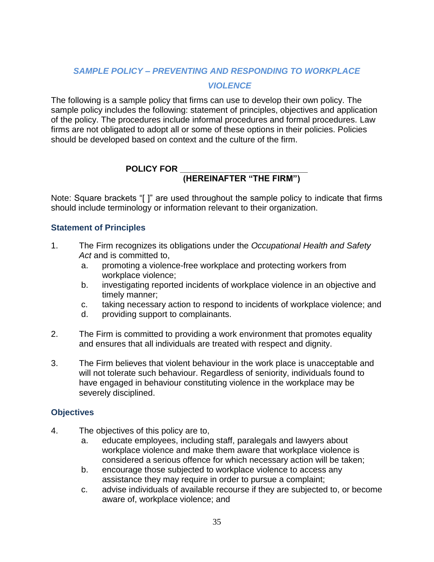# <span id="page-34-0"></span>*SAMPLE POLICY – PREVENTING AND RESPONDING TO WORKPLACE VIOLENCE*

The following is a sample policy that firms can use to develop their own policy. The sample policy includes the following: statement of principles, objectives and application of the policy. The procedures include informal procedures and formal procedures. Law firms are not obligated to adopt all or some of these options in their policies. Policies should be developed based on context and the culture of the firm.

### POLICY FOR \_

# **(HEREINAFTER "THE FIRM")**

Note: Square brackets "[ ]" are used throughout the sample policy to indicate that firms should include terminology or information relevant to their organization.

### <span id="page-34-1"></span>**Statement of Principles**

- 1. The Firm recognizes its obligations under the *Occupational Health and Safety Act* and is committed to,
	- a. promoting a violence-free workplace and protecting workers from workplace violence;
	- b. investigating reported incidents of workplace violence in an objective and timely manner;
	- c. taking necessary action to respond to incidents of workplace violence; and
	- d. providing support to complainants.
- 2. The Firm is committed to providing a work environment that promotes equality and ensures that all individuals are treated with respect and dignity.
- 3. The Firm believes that violent behaviour in the work place is unacceptable and will not tolerate such behaviour. Regardless of seniority, individuals found to have engaged in behaviour constituting violence in the workplace may be severely disciplined.

### <span id="page-34-2"></span>**Objectives**

- 4. The objectives of this policy are to,
	- a. educate employees, including staff, paralegals and lawyers about workplace violence and make them aware that workplace violence is considered a serious offence for which necessary action will be taken;
	- b. encourage those subjected to workplace violence to access any assistance they may require in order to pursue a complaint;
	- c. advise individuals of available recourse if they are subjected to, or become aware of, workplace violence; and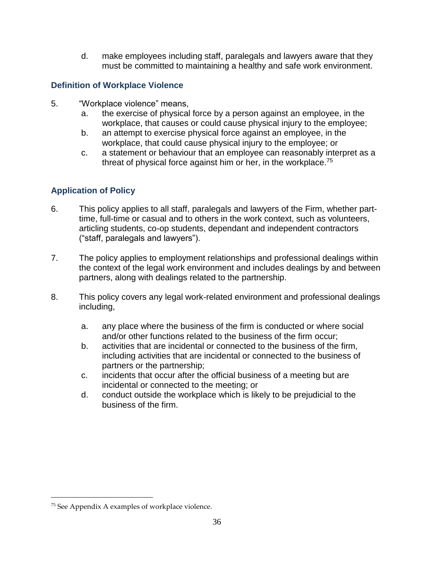d. make employees including staff, paralegals and lawyers aware that they must be committed to maintaining a healthy and safe work environment.

### <span id="page-35-0"></span>**Definition of Workplace Violence**

- 5. "Workplace violence" means,
	- a. the exercise of physical force by a person against an employee, in the workplace, that causes or could cause physical injury to the employee;
	- b. an attempt to exercise physical force against an employee, in the workplace, that could cause physical injury to the employee; or
	- c. a statement or behaviour that an employee can reasonably interpret as a threat of physical force against him or her, in the workplace.<sup>75</sup>

# <span id="page-35-1"></span>**Application of Policy**

- 6. This policy applies to all staff, paralegals and lawyers of the Firm, whether parttime, full-time or casual and to others in the work context, such as volunteers, articling students, co-op students, dependant and independent contractors ("staff, paralegals and lawyers").
- 7. The policy applies to employment relationships and professional dealings within the context of the legal work environment and includes dealings by and between partners, along with dealings related to the partnership.
- 8. This policy covers any legal work-related environment and professional dealings including,
	- a. any place where the business of the firm is conducted or where social and/or other functions related to the business of the firm occur;
	- b. activities that are incidental or connected to the business of the firm, including activities that are incidental or connected to the business of partners or the partnership;
	- c. incidents that occur after the official business of a meeting but are incidental or connected to the meeting; or
	- d. conduct outside the workplace which is likely to be prejudicial to the business of the firm.

<sup>75</sup> See Appendix A examples of workplace violence.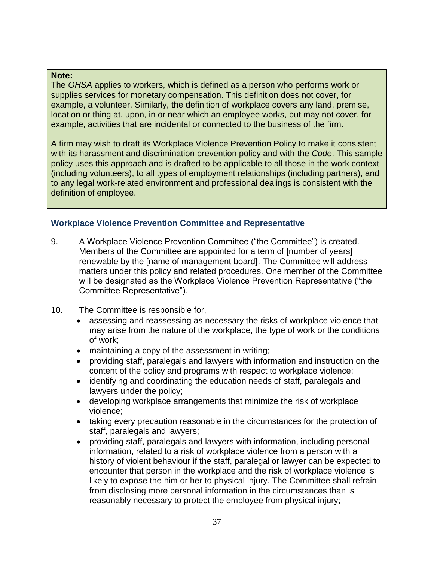#### **Note:**

The *OHSA* applies to workers, which is defined as a person who performs work or supplies services for monetary compensation. This definition does not cover, for example, a volunteer. Similarly, the definition of workplace covers any land, premise, location or thing at, upon, in or near which an employee works, but may not cover, for example, activities that are incidental or connected to the business of the firm.

A firm may wish to draft its Workplace Violence Prevention Policy to make it consistent with its harassment and discrimination prevention policy and with the *Code*. This sample policy uses this approach and is drafted to be applicable to all those in the work context (including volunteers), to all types of employment relationships (including partners), and to any legal work-related environment and professional dealings is consistent with the definition of employee.

### <span id="page-36-0"></span>**Workplace Violence Prevention Committee and Representative**

- 9. A Workplace Violence Prevention Committee ("the Committee") is created. Members of the Committee are appointed for a term of [number of years] renewable by the [name of management board]. The Committee will address matters under this policy and related procedures. One member of the Committee will be designated as the Workplace Violence Prevention Representative ("the Committee Representative").
- 10. The Committee is responsible for,
	- assessing and reassessing as necessary the risks of workplace violence that may arise from the nature of the workplace, the type of work or the conditions of work;
	- maintaining a copy of the assessment in writing;
	- providing staff, paralegals and lawyers with information and instruction on the content of the policy and programs with respect to workplace violence;
	- identifying and coordinating the education needs of staff, paralegals and lawyers under the policy;
	- developing workplace arrangements that minimize the risk of workplace violence;
	- taking every precaution reasonable in the circumstances for the protection of staff, paralegals and lawyers;
	- providing staff, paralegals and lawyers with information, including personal information, related to a risk of workplace violence from a person with a history of violent behaviour if the staff, paralegal or lawyer can be expected to encounter that person in the workplace and the risk of workplace violence is likely to expose the him or her to physical injury. The Committee shall refrain from disclosing more personal information in the circumstances than is reasonably necessary to protect the employee from physical injury;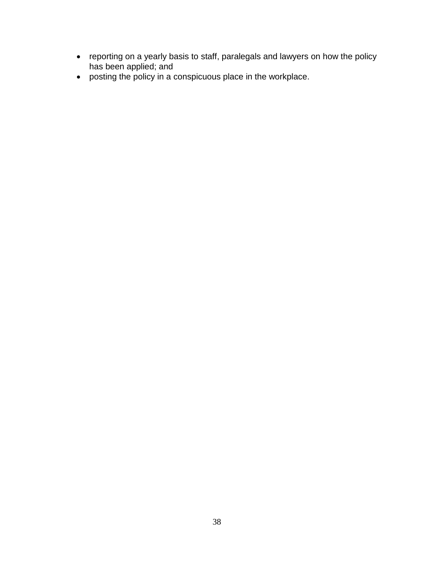- reporting on a yearly basis to staff, paralegals and lawyers on how the policy has been applied; and
- <span id="page-37-0"></span>posting the policy in a conspicuous place in the workplace.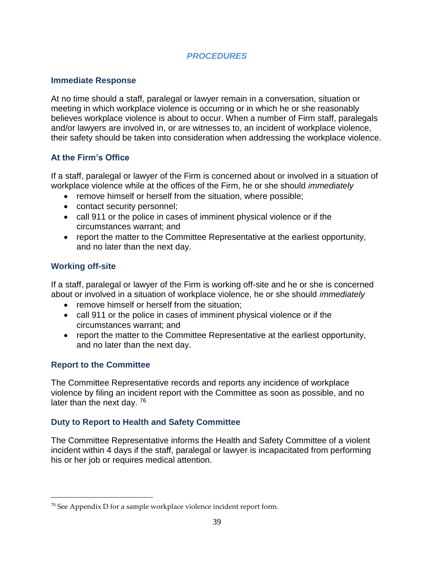### *PROCEDURES*

### <span id="page-38-0"></span>**Immediate Response**

At no time should a staff, paralegal or lawyer remain in a conversation, situation or meeting in which workplace violence is occurring or in which he or she reasonably believes workplace violence is about to occur. When a number of Firm staff, paralegals and/or lawyers are involved in, or are witnesses to, an incident of workplace violence, their safety should be taken into consideration when addressing the workplace violence.

### <span id="page-38-1"></span>**At the Firm's Office**

If a staff, paralegal or lawyer of the Firm is concerned about or involved in a situation of workplace violence while at the offices of the Firm, he or she should *immediately*

- remove himself or herself from the situation, where possible:
- contact security personnel;
- call 911 or the police in cases of imminent physical violence or if the circumstances warrant; and
- report the matter to the Committee Representative at the earliest opportunity, and no later than the next day.

### <span id="page-38-2"></span>**Working off-site**

If a staff, paralegal or lawyer of the Firm is working off-site and he or she is concerned about or involved in a situation of workplace violence, he or she should *immediately*

- remove himself or herself from the situation;
- call 911 or the police in cases of imminent physical violence or if the circumstances warrant; and
- report the matter to the Committee Representative at the earliest opportunity, and no later than the next day.

### <span id="page-38-3"></span>**Report to the Committee**

 $\overline{a}$ 

The Committee Representative records and reports any incidence of workplace violence by filing an incident report with the Committee as soon as possible, and no later than the next day. <sup>76</sup>

### <span id="page-38-4"></span>**Duty to Report to Health and Safety Committee**

The Committee Representative informs the Health and Safety Committee of a violent incident within 4 days if the staff, paralegal or lawyer is incapacitated from performing his or her job or requires medical attention.

 $76$  See Appendix D for a sample workplace violence incident report form.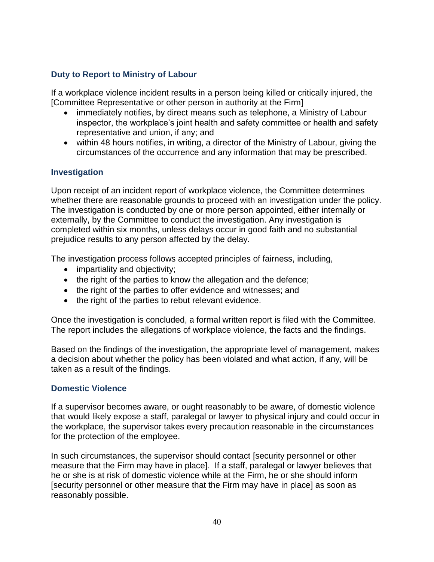### <span id="page-39-0"></span>**Duty to Report to Ministry of Labour**

If a workplace violence incident results in a person being killed or critically injured, the [Committee Representative or other person in authority at the Firm]

- immediately notifies, by direct means such as telephone, a Ministry of Labour inspector, the workplace's joint health and safety committee or health and safety representative and union, if any; and
- within 48 hours notifies, in writing, a director of the Ministry of Labour, giving the circumstances of the occurrence and any information that may be prescribed.

### <span id="page-39-1"></span>**Investigation**

Upon receipt of an incident report of workplace violence, the Committee determines whether there are reasonable grounds to proceed with an investigation under the policy. The investigation is conducted by one or more person appointed, either internally or externally, by the Committee to conduct the investigation. Any investigation is completed within six months, unless delays occur in good faith and no substantial prejudice results to any person affected by the delay.

The investigation process follows accepted principles of fairness, including,

- impartiality and objectivity;
- the right of the parties to know the allegation and the defence;
- the right of the parties to offer evidence and witnesses; and
- the right of the parties to rebut relevant evidence.

Once the investigation is concluded, a formal written report is filed with the Committee. The report includes the allegations of workplace violence, the facts and the findings.

Based on the findings of the investigation, the appropriate level of management, makes a decision about whether the policy has been violated and what action, if any, will be taken as a result of the findings.

### <span id="page-39-2"></span>**Domestic Violence**

If a supervisor becomes aware, or ought reasonably to be aware, of domestic violence that would likely expose a staff, paralegal or lawyer to physical injury and could occur in the workplace, the supervisor takes every precaution reasonable in the circumstances for the protection of the employee.

In such circumstances, the supervisor should contact [security personnel or other measure that the Firm may have in place]. If a staff, paralegal or lawyer believes that he or she is at risk of domestic violence while at the Firm, he or she should inform [security personnel or other measure that the Firm may have in place] as soon as reasonably possible.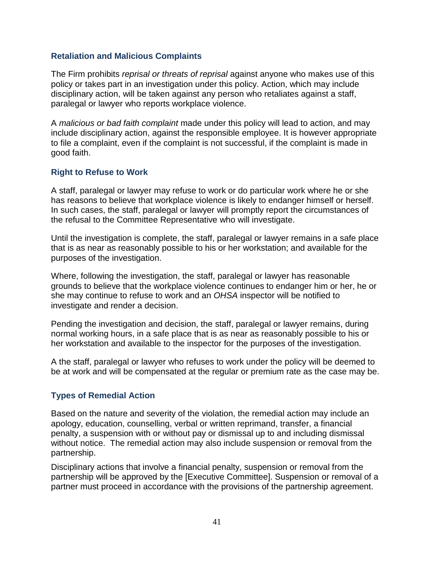#### <span id="page-40-0"></span>**Retaliation and Malicious Complaints**

The Firm prohibits *reprisal or threats of reprisal* against anyone who makes use of this policy or takes part in an investigation under this policy. Action, which may include disciplinary action, will be taken against any person who retaliates against a staff, paralegal or lawyer who reports workplace violence.

A *malicious or bad faith complaint* made under this policy will lead to action, and may include disciplinary action, against the responsible employee. It is however appropriate to file a complaint, even if the complaint is not successful, if the complaint is made in good faith.

### <span id="page-40-1"></span>**Right to Refuse to Work**

A staff, paralegal or lawyer may refuse to work or do particular work where he or she has reasons to believe that workplace violence is likely to endanger himself or herself. In such cases, the staff, paralegal or lawyer will promptly report the circumstances of the refusal to the Committee Representative who will investigate.

Until the investigation is complete, the staff, paralegal or lawyer remains in a safe place that is as near as reasonably possible to his or her workstation; and available for the purposes of the investigation.

Where, following the investigation, the staff, paralegal or lawyer has reasonable grounds to believe that the workplace violence continues to endanger him or her, he or she may continue to refuse to work and an *OHSA* inspector will be notified to investigate and render a decision.

Pending the investigation and decision, the staff, paralegal or lawyer remains, during normal working hours, in a safe place that is as near as reasonably possible to his or her workstation and available to the inspector for the purposes of the investigation.

A the staff, paralegal or lawyer who refuses to work under the policy will be deemed to be at work and will be compensated at the regular or premium rate as the case may be.

### <span id="page-40-2"></span>**Types of Remedial Action**

Based on the nature and severity of the violation, the remedial action may include an apology, education, counselling, verbal or written reprimand, transfer, a financial penalty, a suspension with or without pay or dismissal up to and including dismissal without notice. The remedial action may also include suspension or removal from the partnership.

Disciplinary actions that involve a financial penalty, suspension or removal from the partnership will be approved by the [Executive Committee]. Suspension or removal of a partner must proceed in accordance with the provisions of the partnership agreement.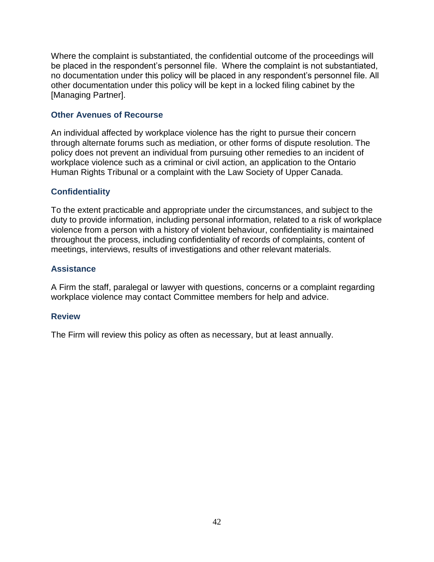Where the complaint is substantiated, the confidential outcome of the proceedings will be placed in the respondent's personnel file. Where the complaint is not substantiated, no documentation under this policy will be placed in any respondent's personnel file. All other documentation under this policy will be kept in a locked filing cabinet by the [Managing Partner].

### <span id="page-41-0"></span>**Other Avenues of Recourse**

An individual affected by workplace violence has the right to pursue their concern through alternate forums such as mediation, or other forms of dispute resolution. The policy does not prevent an individual from pursuing other remedies to an incident of workplace violence such as a criminal or civil action, an application to the Ontario Human Rights Tribunal or a complaint with the Law Society of Upper Canada.

### <span id="page-41-1"></span>**Confidentiality**

To the extent practicable and appropriate under the circumstances, and subject to the duty to provide information, including personal information, related to a risk of workplace violence from a person with a history of violent behaviour, confidentiality is maintained throughout the process, including confidentiality of records of complaints, content of meetings, interviews, results of investigations and other relevant materials.

### <span id="page-41-2"></span>**Assistance**

A Firm the staff, paralegal or lawyer with questions, concerns or a complaint regarding workplace violence may contact Committee members for help and advice.

### <span id="page-41-3"></span>**Review**

The Firm will review this policy as often as necessary, but at least annually.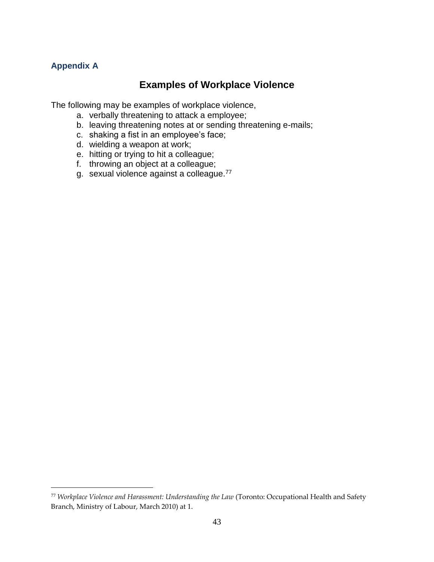### <span id="page-42-0"></span>**Appendix A**

 $\overline{a}$ 

# **Examples of Workplace Violence**

The following may be examples of workplace violence,

- a. verbally threatening to attack a employee;
- b. leaving threatening notes at or sending threatening e-mails;
- c. shaking a fist in an employee's face;
- d. wielding a weapon at work;
- e. hitting or trying to hit a colleague;
- f. throwing an object at a colleague;
- g. sexual violence against a colleague.<sup>77</sup>

<sup>77</sup> *Workplace Violence and Harassment: Understanding the Law* (Toronto: Occupational Health and Safety Branch, Ministry of Labour, March 2010) at 1.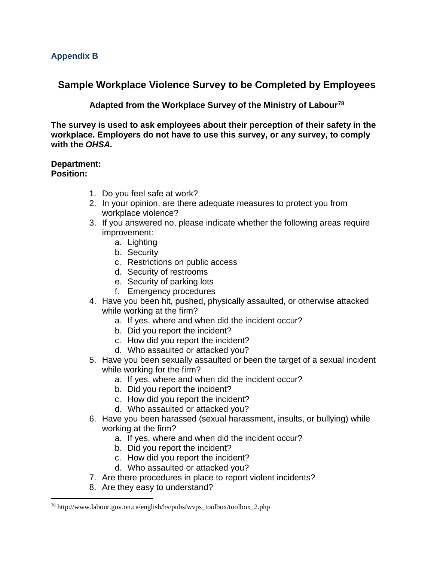# <span id="page-43-0"></span>**Sample Workplace Violence Survey to be Completed by Employees**

**Adapted from the Workplace Survey of the Ministry of Labour<sup>78</sup>**

**The survey is used to ask employees about their perception of their safety in the workplace. Employers do not have to use this survey, or any survey, to comply with the** *OHSA.*

#### **Department: Position:**

- 1. Do you feel safe at work?
- 2. In your opinion, are there adequate measures to protect you from workplace violence?
- 3. If you answered no, please indicate whether the following areas require improvement:
	- a. Lighting
	- b. Security
	- c. Restrictions on public access
	- d. Security of restrooms
	- e. Security of parking lots
	- f. Emergency procedures
- 4. Have you been hit, pushed, physically assaulted, or otherwise attacked while working at the firm?
	- a. If yes, where and when did the incident occur?
	- b. Did you report the incident?
	- c. How did you report the incident?
	- d. Who assaulted or attacked you?
- 5. Have you been sexually assaulted or been the target of a sexual incident while working for the firm?
	- a. If yes, where and when did the incident occur?
	- b. Did you report the incident?
	- c. How did you report the incident?
	- d. Who assaulted or attacked you?
- 6. Have you been harassed (sexual harassment, insults, or bullying) while working at the firm?
	- a. If yes, where and when did the incident occur?
	- b. Did you report the incident?
	- c. How did you report the incident?
	- d. Who assaulted or attacked you?
- 7. Are there procedures in place to report violent incidents?
- 8. Are they easy to understand?

<sup>78</sup> http://www.labour.gov.on.ca/english/hs/pubs/wvps\_toolbox/toolbox\_2.php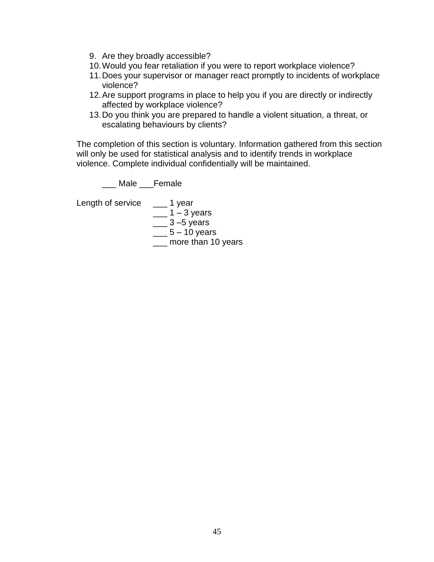- 9. Are they broadly accessible?
- 10.Would you fear retaliation if you were to report workplace violence?
- 11.Does your supervisor or manager react promptly to incidents of workplace violence?
- 12.Are support programs in place to help you if you are directly or indirectly affected by workplace violence?
- 13.Do you think you are prepared to handle a violent situation, a threat, or escalating behaviours by clients?

The completion of this section is voluntary. Information gathered from this section will only be used for statistical analysis and to identify trends in workplace violence. Complete individual confidentially will be maintained.

\_\_\_ Male \_\_\_Female

Length of service \_\_\_ 1 year  $\frac{1}{2}$  1 – 3 years  $\_\_\_\$  3 –5 years

 $\frac{1}{2}$  5 – 10 years

\_\_\_ more than 10 years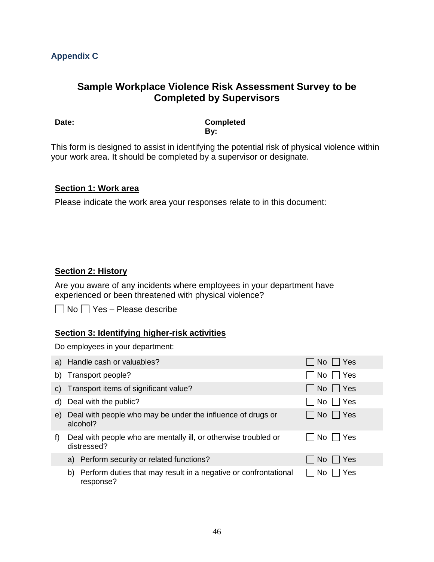# <span id="page-45-0"></span>**Sample Workplace Violence Risk Assessment Survey to be Completed by Supervisors**

**Date: Completed By:**

This form is designed to assist in identifying the potential risk of physical violence within your work area. It should be completed by a supervisor or designate.

#### **Section 1: Work area**

Please indicate the work area your responses relate to in this document:

### **Section 2: History**

Are you aware of any incidents where employees in your department have experienced or been threatened with physical violence?

 $\Box$  No  $\Box$  Yes – Please describe

### **Section 3: Identifying higher-risk activities**

Do employees in your department:

|    | a) Handle cash or valuables?                                                       | No    Yes     |
|----|------------------------------------------------------------------------------------|---------------|
|    | b) Transport people?                                                               | No   ∏ Yes    |
|    | c) Transport items of significant value?                                           | No     Yes    |
|    | d) Deal with the public?                                                           | $No$     Yes  |
| e) | Deal with people who may be under the influence of drugs or<br>alcohol?            | No     Yes    |
| f) | Deal with people who are mentally ill, or otherwise troubled or<br>distressed?     | l Yes<br>No l |
|    | a) Perform security or related functions?                                          | ∣ Yes<br>No l |
|    | Perform duties that may result in a negative or confrontational<br>b)<br>response? | Yes           |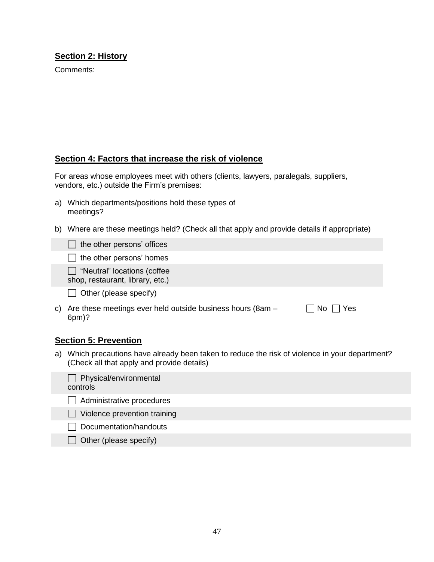### **Section 2: History**

Comments:

### **Section 4: Factors that increase the risk of violence**

For areas whose employees meet with others (clients, lawyers, paralegals, suppliers, vendors, etc.) outside the Firm's premises:

- a) Which departments/positions hold these types of meetings?
- b) Where are these meetings held? (Check all that apply and provide details if appropriate)

| $\Box$ the other persons' offices |  |
|-----------------------------------|--|
|-----------------------------------|--|

|  |  |  | $\Box$ the other persons' homes |  |
|--|--|--|---------------------------------|--|
|--|--|--|---------------------------------|--|

- □ "Neutral" locations (coffee
- shop, restaurant, library, etc.)
- $\Box$  Other (please specify)
- c) Are these meetings ever held outside business hours (8am 6pm)?  $\Box$  No  $\Box$  Yes

#### **Section 5: Prevention**

a) Which precautions have already been taken to reduce the risk of violence in your department? (Check all that apply and provide details)

| $\Box$ Physical/environmental<br>controls |  |
|-------------------------------------------|--|
| Administrative procedures                 |  |
| Violence prevention training              |  |
| Documentation/handouts                    |  |

 $\Box$  Other (please specify)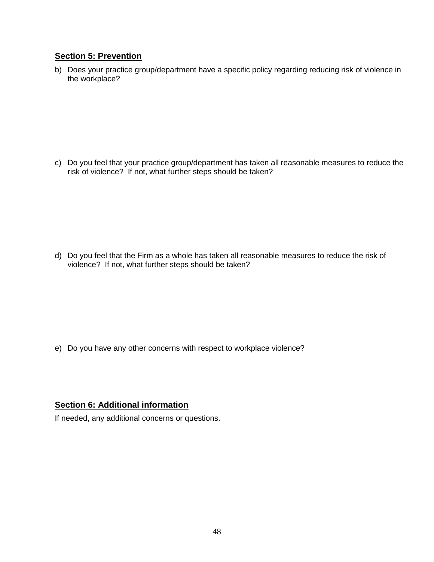### **Section 5: Prevention**

b) Does your practice group/department have a specific policy regarding reducing risk of violence in the workplace?

c) Do you feel that your practice group/department has taken all reasonable measures to reduce the risk of violence? If not, what further steps should be taken?

d) Do you feel that the Firm as a whole has taken all reasonable measures to reduce the risk of violence? If not, what further steps should be taken?

e) Do you have any other concerns with respect to workplace violence?

#### **Section 6: Additional information**

If needed, any additional concerns or questions.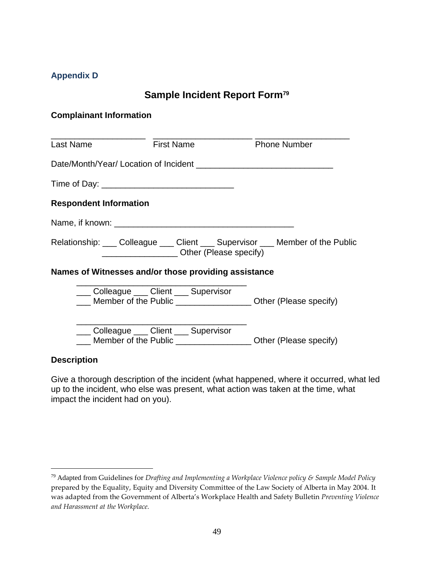### <span id="page-48-0"></span>**Appendix D**

# **Sample Incident Report Form<sup>79</sup>**

#### **Complainant Information**

| <b>Last Name</b>              | <b>First Name</b>                                    | <b>Example 2</b> Phone Number                                         |
|-------------------------------|------------------------------------------------------|-----------------------------------------------------------------------|
|                               |                                                      |                                                                       |
|                               |                                                      |                                                                       |
| <b>Respondent Information</b> |                                                      |                                                                       |
|                               |                                                      |                                                                       |
|                               | Other (Please specify)                               | Relationship: Colleague Client Supervisor Collember of the Public     |
|                               | Names of Witnesses and/or those providing assistance |                                                                       |
|                               | Colleague ___ Client ___ Supervisor                  | Member of the Public _________________________ Other (Please specify) |
|                               | ___ Colleague ____ Client ___ Supervisor             | Member of the Public _______________________ Other (Please specify)   |

#### **Description**

 $\overline{a}$ 

Give a thorough description of the incident (what happened, where it occurred, what led up to the incident, who else was present, what action was taken at the time, what impact the incident had on you).

<sup>79</sup> Adapted from Guidelines for *Drafting and Implementing a Workplace Violence policy & Sample Model Policy* prepared by the Equality, Equity and Diversity Committee of the Law Society of Alberta in May 2004. It was adapted from the Government of Alberta's Workplace Health and Safety Bulletin *Preventing Violence and Harassment at the Workplace.*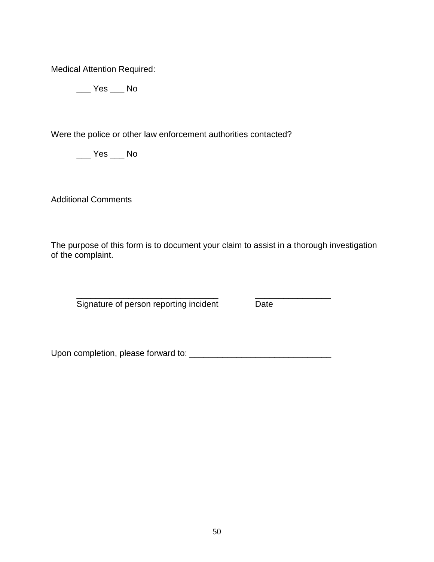Medical Attention Required:

 $\_\_\_\$  Yes  $\_\_\_\$  No

Were the police or other law enforcement authorities contacted?

 $\_\_\_\$  Yes  $\_\_\_\$  No

Additional Comments

The purpose of this form is to document your claim to assist in a thorough investigation of the complaint.

\_\_\_\_\_\_\_\_\_\_\_\_\_\_\_\_\_\_\_\_\_\_\_\_\_\_\_\_\_\_ \_\_\_\_\_\_\_\_\_\_\_\_\_\_\_\_ Signature of person reporting incident Date

Upon completion, please forward to: \_\_\_\_\_\_\_\_\_\_\_\_\_\_\_\_\_\_\_\_\_\_\_\_\_\_\_\_\_\_